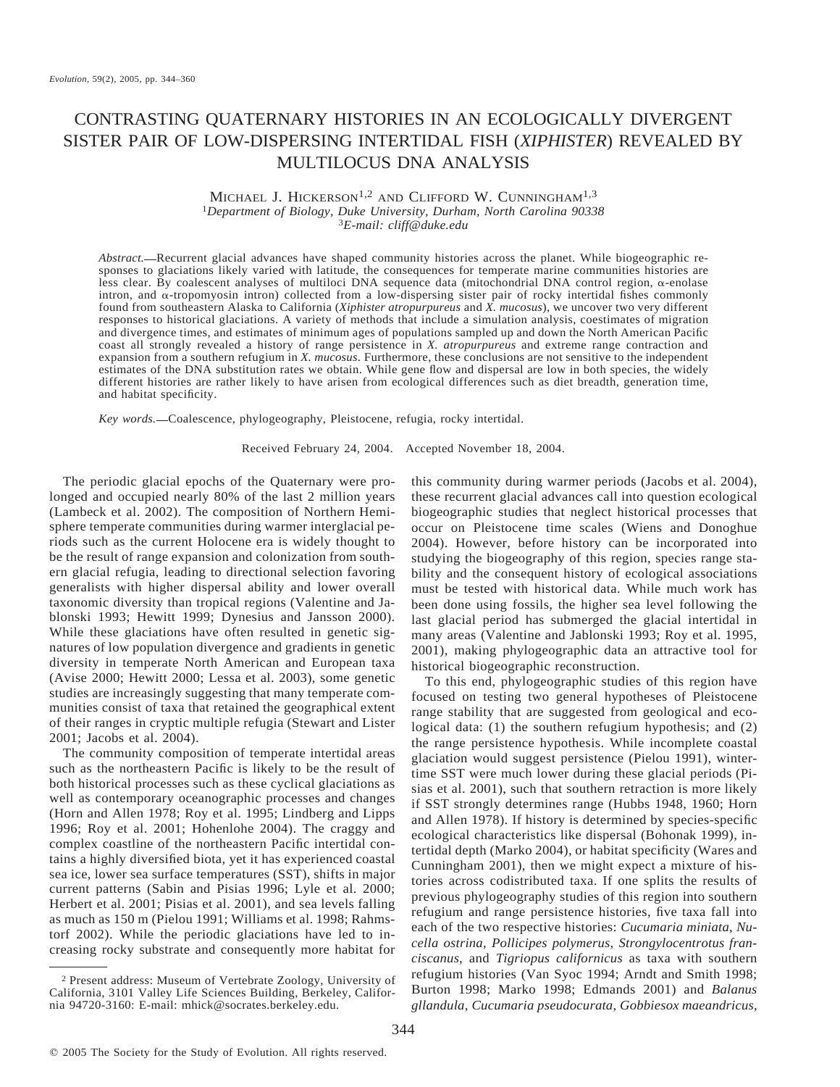# CONTRASTING QUATERNARY HISTORIES IN AN ECOLOGICALLY DIVERGENT SISTER PAIR OF LOW-DISPERSING INTERTIDAL FISH (*XIPHISTER*) REVEALED BY MULTILOCUS DNA ANALYSIS

# MICHAEL J. HICKERSON<sup>1,2</sup> AND CLIFFORD W. CUNNINGHAM<sup>1,3</sup> <sup>1</sup>*Department of Biology, Duke University, Durham, North Carolina 90338* <sup>3</sup>*E-mail: cliff@duke.edu*

*Abstract.* - Recurrent glacial advances have shaped community histories across the planet. While biogeographic responses to glaciations likely varied with latitude, the consequences for temperate marine communities histories are less clear. By coalescent analyses of multiloci DNA sequence data (mitochondrial DNA control region, α-enolase intron, and  $\alpha$ -tropomyosin intron) collected from a low-dispersing sister pair of rocky intertidal fishes commonly found from southeastern Alaska to California (*Xiphister atropurpureus* and *X. mucosus*), we uncover two very different responses to historical glaciations. A variety of methods that include a simulation analysis, coestimates of migration and divergence times, and estimates of minimum ages of populations sampled up and down the North American Pacific coast all strongly revealed a history of range persistence in *X. atropurpureus* and extreme range contraction and expansion from a southern refugium in *X. mucosus*. Furthermore, these conclusions are not sensitive to the independent estimates of the DNA substitution rates we obtain. While gene flow and dispersal are low in both species, the widely different histories are rather likely to have arisen from ecological differences such as diet breadth, generation time, and habitat specificity.

*Key words.* Coalescence, phylogeography, Pleistocene, refugia, rocky intertidal.

Received February 24, 2004. Accepted November 18, 2004.

The periodic glacial epochs of the Quaternary were prolonged and occupied nearly 80% of the last 2 million years (Lambeck et al. 2002). The composition of Northern Hemisphere temperate communities during warmer interglacial periods such as the current Holocene era is widely thought to be the result of range expansion and colonization from southern glacial refugia, leading to directional selection favoring generalists with higher dispersal ability and lower overall taxonomic diversity than tropical regions (Valentine and Jablonski 1993; Hewitt 1999; Dynesius and Jansson 2000). While these glaciations have often resulted in genetic signatures of low population divergence and gradients in genetic diversity in temperate North American and European taxa (Avise 2000; Hewitt 2000; Lessa et al. 2003), some genetic studies are increasingly suggesting that many temperate communities consist of taxa that retained the geographical extent of their ranges in cryptic multiple refugia (Stewart and Lister 2001; Jacobs et al. 2004).

The community composition of temperate intertidal areas such as the northeastern Pacific is likely to be the result of both historical processes such as these cyclical glaciations as well as contemporary oceanographic processes and changes (Horn and Allen 1978; Roy et al. 1995; Lindberg and Lipps 1996; Roy et al. 2001; Hohenlohe 2004). The craggy and complex coastline of the northeastern Pacific intertidal contains a highly diversified biota, yet it has experienced coastal sea ice, lower sea surface temperatures (SST), shifts in major current patterns (Sabin and Pisias 1996; Lyle et al. 2000; Herbert et al. 2001; Pisias et al. 2001), and sea levels falling as much as 150 m (Pielou 1991; Williams et al. 1998; Rahmstorf 2002). While the periodic glaciations have led to increasing rocky substrate and consequently more habitat for this community during warmer periods (Jacobs et al. 2004), these recurrent glacial advances call into question ecological biogeographic studies that neglect historical processes that occur on Pleistocene time scales (Wiens and Donoghue 2004). However, before history can be incorporated into studying the biogeography of this region, species range stability and the consequent history of ecological associations must be tested with historical data. While much work has been done using fossils, the higher sea level following the last glacial period has submerged the glacial intertidal in many areas (Valentine and Jablonski 1993; Roy et al. 1995, 2001), making phylogeographic data an attractive tool for historical biogeographic reconstruction.

To this end, phylogeographic studies of this region have focused on testing two general hypotheses of Pleistocene range stability that are suggested from geological and ecological data: (1) the southern refugium hypothesis; and (2) the range persistence hypothesis. While incomplete coastal glaciation would suggest persistence (Pielou 1991), wintertime SST were much lower during these glacial periods (Pisias et al. 2001), such that southern retraction is more likely if SST strongly determines range (Hubbs 1948, 1960; Horn and Allen 1978). If history is determined by species-specific ecological characteristics like dispersal (Bohonak 1999), intertidal depth (Marko 2004), or habitat specificity (Wares and Cunningham 2001), then we might expect a mixture of histories across codistributed taxa. If one splits the results of previous phylogeography studies of this region into southern refugium and range persistence histories, five taxa fall into each of the two respective histories: *Cucumaria miniata*, *Nucella ostrina*, *Pollicipes polymerus*, *Strongylocentrotus franciscanus*, and *Tigriopus californicus* as taxa with southern refugium histories (Van Syoc 1994; Arndt and Smith 1998; Burton 1998; Marko 1998; Edmands 2001) and *Balanus gllandula*, *Cucumaria pseudocurata*, *Gobbiesox maeandricus*,

<sup>2</sup> Present address: Museum of Vertebrate Zoology, University of California, 3101 Valley Life Sciences Building, Berkeley, California 94720-3160: E-mail: mhick@socrates.berkeley.edu.

 $Q$  2005 The Society for the Study of Evolution. All rights reserved.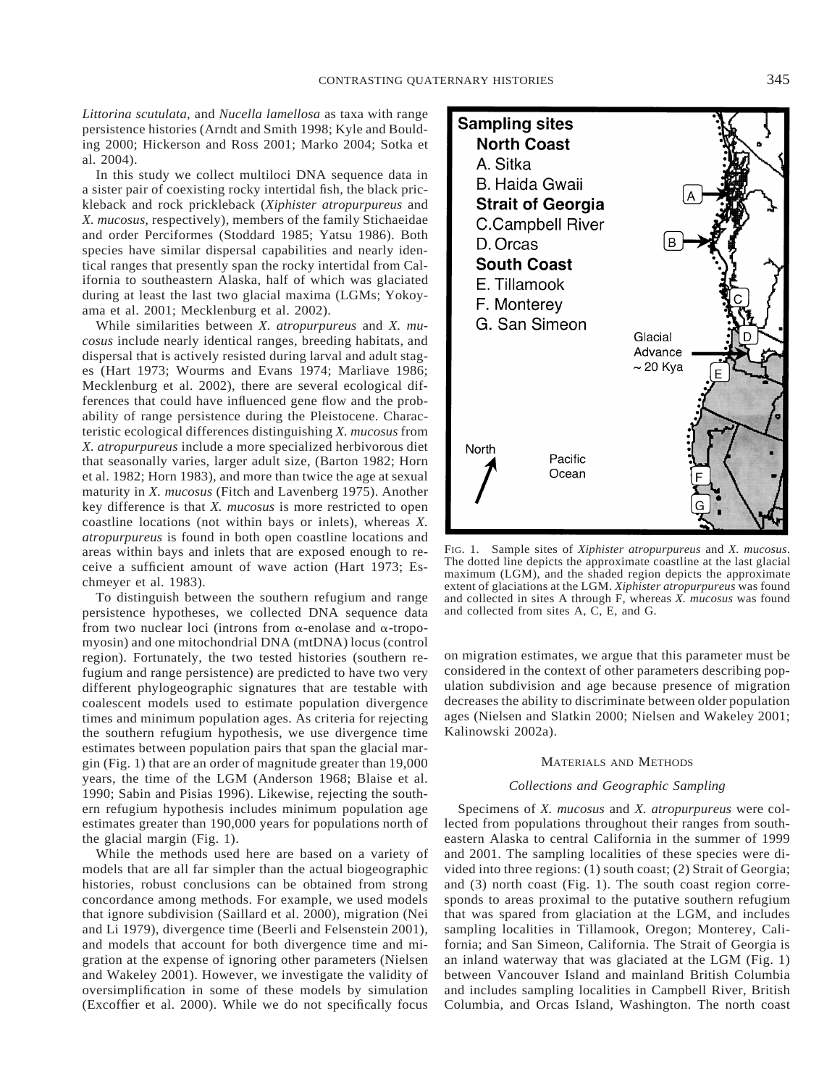*Littorina scutulata*, and *Nucella lamellosa* as taxa with range persistence histories (Arndt and Smith 1998; Kyle and Boulding 2000; Hickerson and Ross 2001; Marko 2004; Sotka et al. 2004).

In this study we collect multiloci DNA sequence data in a sister pair of coexisting rocky intertidal fish, the black prickleback and rock prickleback (*Xiphister atropurpureus* and *X. mucosus*, respectively), members of the family Stichaeidae and order Perciformes (Stoddard 1985; Yatsu 1986). Both species have similar dispersal capabilities and nearly identical ranges that presently span the rocky intertidal from California to southeastern Alaska, half of which was glaciated during at least the last two glacial maxima (LGMs; Yokoyama et al. 2001; Mecklenburg et al. 2002).

While similarities between *X. atropurpureus* and *X. mucosus* include nearly identical ranges, breeding habitats, and dispersal that is actively resisted during larval and adult stages (Hart 1973; Wourms and Evans 1974; Marliave 1986; Mecklenburg et al. 2002), there are several ecological differences that could have influenced gene flow and the probability of range persistence during the Pleistocene. Characteristic ecological differences distinguishing *X. mucosus* from *X. atropurpureus* include a more specialized herbivorous diet that seasonally varies, larger adult size, (Barton 1982; Horn et al. 1982; Horn 1983), and more than twice the age at sexual maturity in *X. mucosus* (Fitch and Lavenberg 1975). Another key difference is that *X. mucosus* is more restricted to open coastline locations (not within bays or inlets), whereas *X. atropurpureus* is found in both open coastline locations and areas within bays and inlets that are exposed enough to receive a sufficient amount of wave action (Hart 1973; Eschmeyer et al. 1983).

To distinguish between the southern refugium and range persistence hypotheses, we collected DNA sequence data from two nuclear loci (introns from  $\alpha$ -enolase and  $\alpha$ -tropomyosin) and one mitochondrial DNA (mtDNA) locus (control region). Fortunately, the two tested histories (southern refugium and range persistence) are predicted to have two very different phylogeographic signatures that are testable with coalescent models used to estimate population divergence times and minimum population ages. As criteria for rejecting the southern refugium hypothesis, we use divergence time estimates between population pairs that span the glacial margin (Fig. 1) that are an order of magnitude greater than 19,000 years, the time of the LGM (Anderson 1968; Blaise et al. 1990; Sabin and Pisias 1996). Likewise, rejecting the southern refugium hypothesis includes minimum population age estimates greater than 190,000 years for populations north of the glacial margin (Fig. 1).

While the methods used here are based on a variety of models that are all far simpler than the actual biogeographic histories, robust conclusions can be obtained from strong concordance among methods. For example, we used models that ignore subdivision (Saillard et al. 2000), migration (Nei and Li 1979), divergence time (Beerli and Felsenstein 2001), and models that account for both divergence time and migration at the expense of ignoring other parameters (Nielsen and Wakeley 2001). However, we investigate the validity of oversimplification in some of these models by simulation (Excoffier et al. 2000). While we do not specifically focus



FIG. 1. Sample sites of *Xiphister atropurpureus* and *X. mucosus*. The dotted line depicts the approximate coastline at the last glacial maximum (LGM), and the shaded region depicts the approximate extent of glaciations at the LGM. *Xiphister atropurpureus* was found and collected in sites A through F, whereas *X. mucosus* was found and collected from sites A, C, E, and G.

on migration estimates, we argue that this parameter must be considered in the context of other parameters describing population subdivision and age because presence of migration decreases the ability to discriminate between older population ages (Nielsen and Slatkin 2000; Nielsen and Wakeley 2001; Kalinowski 2002a).

## MATERIALS AND METHODS

## *Collections and Geographic Sampling*

Specimens of *X. mucosus* and *X. atropurpureus* were collected from populations throughout their ranges from southeastern Alaska to central California in the summer of 1999 and 2001. The sampling localities of these species were divided into three regions: (1) south coast; (2) Strait of Georgia; and (3) north coast (Fig. 1). The south coast region corresponds to areas proximal to the putative southern refugium that was spared from glaciation at the LGM, and includes sampling localities in Tillamook, Oregon; Monterey, California; and San Simeon, California. The Strait of Georgia is an inland waterway that was glaciated at the LGM (Fig. 1) between Vancouver Island and mainland British Columbia and includes sampling localities in Campbell River, British Columbia, and Orcas Island, Washington. The north coast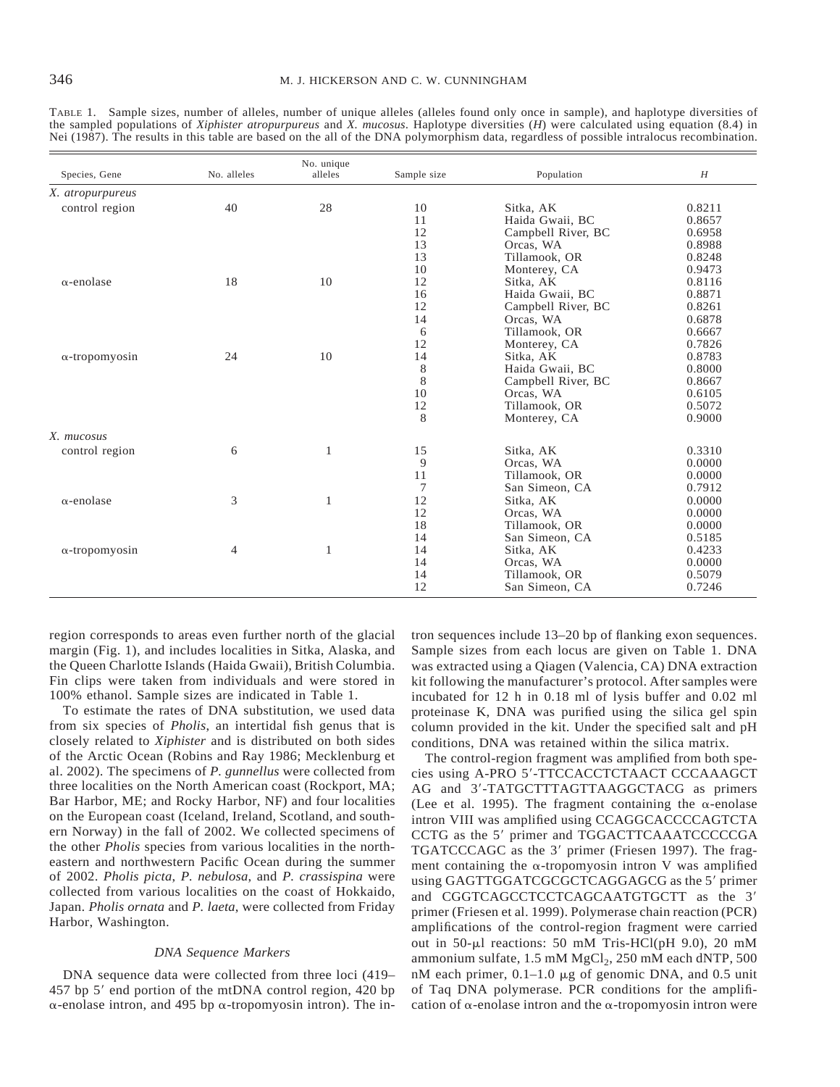| No. unique            |             |              |             |                    |                  |
|-----------------------|-------------|--------------|-------------|--------------------|------------------|
| Species, Gene         | No. alleles | alleles      | Sample size | Population         | $\boldsymbol{H}$ |
| X. atropurpureus      |             |              |             |                    |                  |
| control region        | 40          | 28           | 10          | Sitka, AK          | 0.8211           |
|                       |             |              | 11          | Haida Gwaii, BC    | 0.8657           |
|                       |             |              | 12          | Campbell River, BC | 0.6958           |
|                       |             |              | 13          | Orcas, WA          | 0.8988           |
|                       |             |              | 13          | Tillamook, OR      | 0.8248           |
|                       |             |              | 10          | Monterey, CA       | 0.9473           |
| $\alpha$ -enolase     | 18          | 10           | 12          | Sitka, AK          | 0.8116           |
|                       |             |              | 16          | Haida Gwaii, BC    | 0.8871           |
|                       |             |              | 12          | Campbell River, BC | 0.8261           |
|                       |             |              | 14          | Orcas, WA          | 0.6878           |
|                       |             |              | 6           | Tillamook, OR      | 0.6667           |
|                       |             |              | 12          | Monterey, CA       | 0.7826           |
| $\alpha$ -tropomyosin | 24          | 10           | 14          | Sitka, AK          | 0.8783           |
|                       |             |              | 8           | Haida Gwaii, BC    | 0.8000           |
|                       |             |              | 8           | Campbell River, BC | 0.8667           |
|                       |             |              | 10          | Orcas, WA          | 0.6105           |
|                       |             |              | 12          | Tillamook, OR      | 0.5072           |
|                       |             |              | 8           | Monterey, CA       | 0.9000           |
| X. mucosus            |             |              |             |                    |                  |
| control region        | 6           | $\mathbf{1}$ | 15          | Sitka, AK          | 0.3310           |
|                       |             |              | 9           | Orcas, WA          | 0.0000           |
|                       |             |              | 11          | Tillamook, OR      | 0.0000           |
|                       |             |              | 7           | San Simeon, CA     | 0.7912           |
| $\alpha$ -enolase     | 3           | 1            | 12          | Sitka, AK          | 0.0000           |
|                       |             |              | 12          | Orcas, WA          | 0.0000           |
|                       |             |              | 18          | Tillamook, OR      | 0.0000           |
|                       |             |              | 14          | San Simeon, CA     | 0.5185           |
| $\alpha$ -tropomyosin | 4           | 1            | 14          | Sitka, AK          | 0.4233           |
|                       |             |              | 14          | Orcas, WA          | 0.0000           |
|                       |             |              | 14          | Tillamook, OR      | 0.5079           |
|                       |             |              | 12          | San Simeon, CA     | 0.7246           |

TABLE 1. Sample sizes, number of alleles, number of unique alleles (alleles found only once in sample), and haplotype diversities of the sampled populations of *Xiphister atropurpureus* and *X. mucosus*. Haplotype diversities (*H*) were calculated using equation (8.4) in Nei (1987). The results in this table are based on the all of the DNA polymorphism data, regardless of possible intralocus recombination.

region corresponds to areas even further north of the glacial margin (Fig. 1), and includes localities in Sitka, Alaska, and the Queen Charlotte Islands (Haida Gwaii), British Columbia. Fin clips were taken from individuals and were stored in 100% ethanol. Sample sizes are indicated in Table 1.

To estimate the rates of DNA substitution, we used data from six species of *Pholis*, an intertidal fish genus that is closely related to *Xiphister* and is distributed on both sides of the Arctic Ocean (Robins and Ray 1986; Mecklenburg et al. 2002). The specimens of *P. gunnellus* were collected from three localities on the North American coast (Rockport, MA; Bar Harbor, ME; and Rocky Harbor, NF) and four localities on the European coast (Iceland, Ireland, Scotland, and southern Norway) in the fall of 2002. We collected specimens of the other *Pholis* species from various localities in the northeastern and northwestern Pacific Ocean during the summer of 2002. *Pholis picta*, *P. nebulosa*, and *P. crassispina* were collected from various localities on the coast of Hokkaido, Japan. *Pholis ornata* and *P. laeta*, were collected from Friday Harbor, Washington.

## *DNA Sequence Markers*

DNA sequence data were collected from three loci (419– 457 bp 5' end portion of the mtDNA control region, 420 bp  $\alpha$ -enolase intron, and 495 bp  $\alpha$ -tropomyosin intron). The intron sequences include 13–20 bp of flanking exon sequences. Sample sizes from each locus are given on Table 1. DNA was extracted using a Qiagen (Valencia, CA) DNA extraction kit following the manufacturer's protocol. After samples were incubated for 12 h in 0.18 ml of lysis buffer and 0.02 ml proteinase K, DNA was purified using the silica gel spin column provided in the kit. Under the specified salt and pH conditions, DNA was retained within the silica matrix.

The control-region fragment was amplified from both species using A-PRO 5'-TTCCACCTCTAACT CCCAAAGCT AG and 3'-TATGCTTTAGTTAAGGCTACG as primers (Lee et al. 1995). The fragment containing the  $\alpha$ -enolase intron VIII was amplified using CCAGGCACCCCAGTCTA CCTG as the 5' primer and TGGACTTCAAATCCCCCGA TGATCCCAGC as the 3' primer (Friesen 1997). The fragment containing the  $\alpha$ -tropomyosin intron V was amplified using GAGTTGGATCGCGCTCAGGAGCG as the 5' primer and CGGTCAGCCTCCTCAGCAATGTGCTT as the 3' primer (Friesen et al. 1999). Polymerase chain reaction (PCR) amplifications of the control-region fragment were carried out in 50-µl reactions: 50 mM Tris-HCl(pH 9.0), 20 mM ammonium sulfate,  $1.5$  mM  $MgCl<sub>2</sub>$ ,  $250$  mM each dNTP,  $500$ nM each primer,  $0.1-1.0 \mu g$  of genomic DNA, and  $0.5 \mu m$ of Taq DNA polymerase. PCR conditions for the amplification of  $\alpha$ -enolase intron and the  $\alpha$ -tropomyosin intron were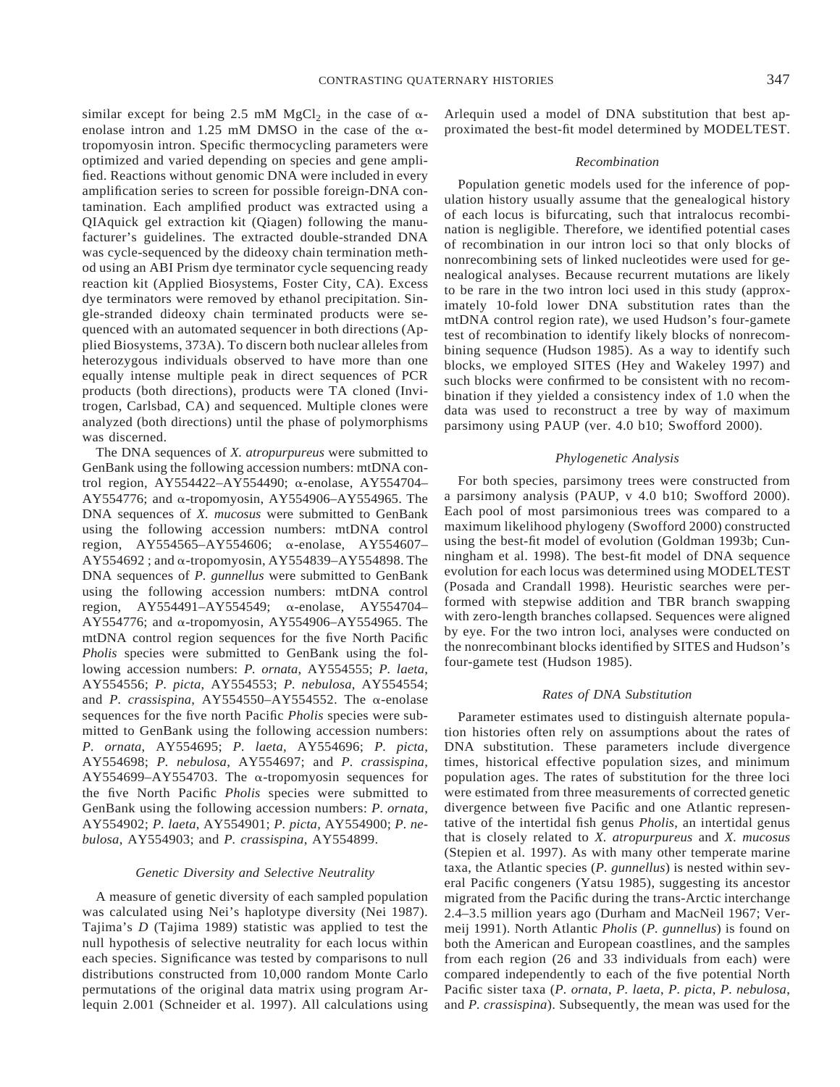similar except for being 2.5 mM MgCl<sub>2</sub> in the case of  $\alpha$ enolase intron and 1.25 mM DMSO in the case of the  $\alpha$ tropomyosin intron. Specific thermocycling parameters were optimized and varied depending on species and gene amplified. Reactions without genomic DNA were included in every amplification series to screen for possible foreign-DNA contamination. Each amplified product was extracted using a QIAquick gel extraction kit (Qiagen) following the manufacturer's guidelines. The extracted double-stranded DNA was cycle-sequenced by the dideoxy chain termination method using an ABI Prism dye terminator cycle sequencing ready reaction kit (Applied Biosystems, Foster City, CA). Excess dye terminators were removed by ethanol precipitation. Single-stranded dideoxy chain terminated products were sequenced with an automated sequencer in both directions (Applied Biosystems, 373A). To discern both nuclear alleles from heterozygous individuals observed to have more than one equally intense multiple peak in direct sequences of PCR products (both directions), products were TA cloned (Invitrogen, Carlsbad, CA) and sequenced. Multiple clones were analyzed (both directions) until the phase of polymorphisms was discerned.

The DNA sequences of *X. atropurpureus* were submitted to GenBank using the following accession numbers: mtDNA control region, AY554422–AY554490; a-enolase, AY554704– AY554776; and  $\alpha$ -tropomyosin, AY554906–AY554965. The DNA sequences of *X. mucosus* were submitted to GenBank using the following accession numbers: mtDNA control region, AY554565–AY554606; a-enolase, AY554607–  $AY554692$ ; and  $\alpha$ -tropomyosin, AY554839–AY554898. The DNA sequences of *P. gunnellus* were submitted to GenBank using the following accession numbers: mtDNA control region, AY554491–AY554549; a-enolase, AY554704– AY554776; and  $\alpha$ -tropomyosin, AY554906–AY554965. The mtDNA control region sequences for the five North Pacific *Pholis* species were submitted to GenBank using the following accession numbers: *P. ornata*, AY554555; *P. laeta*, AY554556; *P. picta*, AY554553; *P. nebulosa*, AY554554; and *P. crassispina*, AY554550–AY554552. The a-enolase sequences for the five north Pacific *Pholis* species were submitted to GenBank using the following accession numbers: *P. ornata*, AY554695; *P. laeta*, AY554696; *P. picta*, AY554698; *P. nebulosa*, AY554697; and *P. crassispina*, AY554699–AY554703. The a-tropomyosin sequences for the five North Pacific *Pholis* species were submitted to GenBank using the following accession numbers: *P. ornata*, AY554902; *P. laeta*, AY554901; *P. picta*, AY554900; *P. nebulosa*, AY554903; and *P. crassispina*, AY554899.

#### *Genetic Diversity and Selective Neutrality*

A measure of genetic diversity of each sampled population was calculated using Nei's haplotype diversity (Nei 1987). Tajima's *D* (Tajima 1989) statistic was applied to test the null hypothesis of selective neutrality for each locus within each species. Significance was tested by comparisons to null distributions constructed from 10,000 random Monte Carlo permutations of the original data matrix using program Arlequin 2.001 (Schneider et al. 1997). All calculations using Arlequin used a model of DNA substitution that best approximated the best-fit model determined by MODELTEST.

#### *Recombination*

Population genetic models used for the inference of population history usually assume that the genealogical history of each locus is bifurcating, such that intralocus recombination is negligible. Therefore, we identified potential cases of recombination in our intron loci so that only blocks of nonrecombining sets of linked nucleotides were used for genealogical analyses. Because recurrent mutations are likely to be rare in the two intron loci used in this study (approximately 10-fold lower DNA substitution rates than the mtDNA control region rate), we used Hudson's four-gamete test of recombination to identify likely blocks of nonrecombining sequence (Hudson 1985). As a way to identify such blocks, we employed SITES (Hey and Wakeley 1997) and such blocks were confirmed to be consistent with no recombination if they yielded a consistency index of 1.0 when the data was used to reconstruct a tree by way of maximum parsimony using PAUP (ver. 4.0 b10; Swofford 2000).

## *Phylogenetic Analysis*

For both species, parsimony trees were constructed from a parsimony analysis (PAUP, v 4.0 b10; Swofford 2000). Each pool of most parsimonious trees was compared to a maximum likelihood phylogeny (Swofford 2000) constructed using the best-fit model of evolution (Goldman 1993b; Cunningham et al. 1998). The best-fit model of DNA sequence evolution for each locus was determined using MODELTEST (Posada and Crandall 1998). Heuristic searches were performed with stepwise addition and TBR branch swapping with zero-length branches collapsed. Sequences were aligned by eye. For the two intron loci, analyses were conducted on the nonrecombinant blocks identified by SITES and Hudson's four-gamete test (Hudson 1985).

#### *Rates of DNA Substitution*

Parameter estimates used to distinguish alternate population histories often rely on assumptions about the rates of DNA substitution. These parameters include divergence times, historical effective population sizes, and minimum population ages. The rates of substitution for the three loci were estimated from three measurements of corrected genetic divergence between five Pacific and one Atlantic representative of the intertidal fish genus *Pholis*, an intertidal genus that is closely related to *X. atropurpureus* and *X. mucosus* (Stepien et al. 1997). As with many other temperate marine taxa, the Atlantic species (*P. gunnellus*) is nested within several Pacific congeners (Yatsu 1985), suggesting its ancestor migrated from the Pacific during the trans-Arctic interchange 2.4–3.5 million years ago (Durham and MacNeil 1967; Vermeij 1991). North Atlantic *Pholis* (*P. gunnellus*) is found on both the American and European coastlines, and the samples from each region (26 and 33 individuals from each) were compared independently to each of the five potential North Pacific sister taxa (*P. ornata*, *P. laeta*, *P. picta*, *P. nebulosa*, and *P. crassispina*). Subsequently, the mean was used for the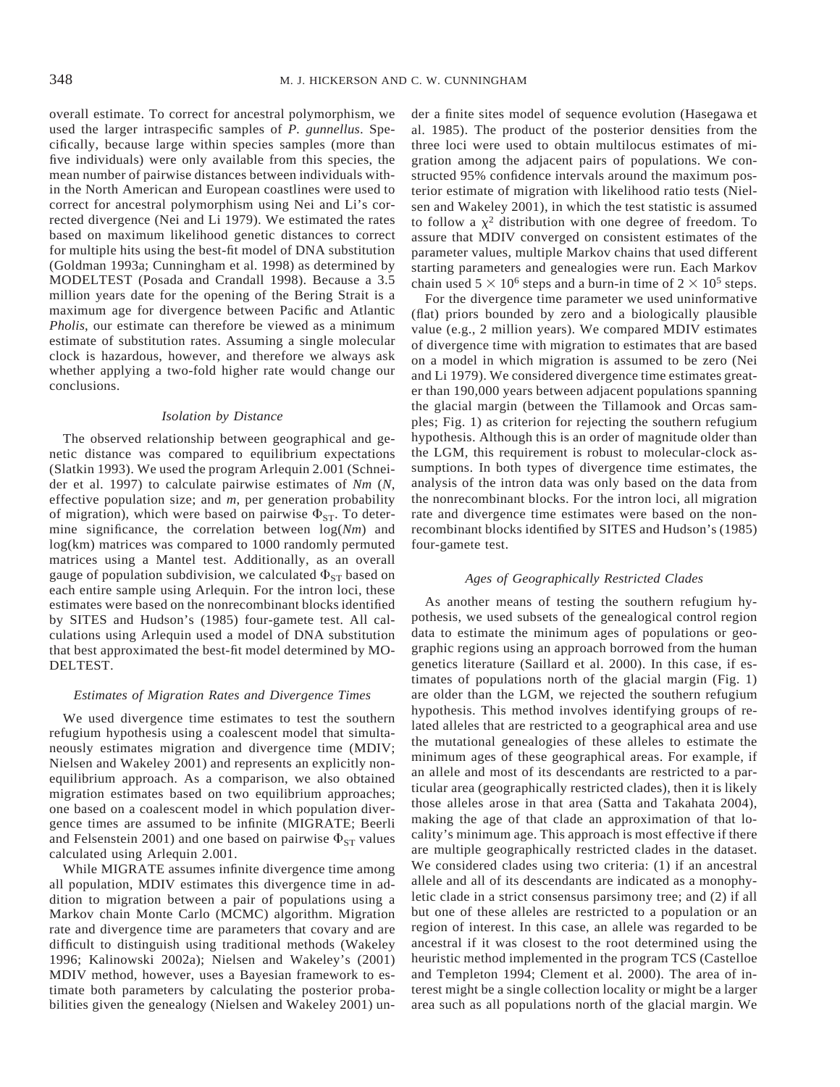overall estimate. To correct for ancestral polymorphism, we used the larger intraspecific samples of *P. gunnellus*. Specifically, because large within species samples (more than five individuals) were only available from this species, the mean number of pairwise distances between individuals within the North American and European coastlines were used to correct for ancestral polymorphism using Nei and Li's corrected divergence (Nei and Li 1979). We estimated the rates based on maximum likelihood genetic distances to correct for multiple hits using the best-fit model of DNA substitution (Goldman 1993a; Cunningham et al. 1998) as determined by MODELTEST (Posada and Crandall 1998). Because a 3.5 million years date for the opening of the Bering Strait is a maximum age for divergence between Pacific and Atlantic *Pholis*, our estimate can therefore be viewed as a minimum estimate of substitution rates. Assuming a single molecular clock is hazardous, however, and therefore we always ask whether applying a two-fold higher rate would change our conclusions.

## *Isolation by Distance*

The observed relationship between geographical and genetic distance was compared to equilibrium expectations (Slatkin 1993). We used the program Arlequin 2.001 (Schneider et al. 1997) to calculate pairwise estimates of *Nm* (*N*, effective population size; and *m*, per generation probability of migration), which were based on pairwise  $\Phi_{ST}$ . To determine significance, the correlation between log(*Nm*) and log(km) matrices was compared to 1000 randomly permuted matrices using a Mantel test. Additionally, as an overall gauge of population subdivision, we calculated  $\Phi_{ST}$  based on each entire sample using Arlequin. For the intron loci, these estimates were based on the nonrecombinant blocks identified by SITES and Hudson's (1985) four-gamete test. All calculations using Arlequin used a model of DNA substitution that best approximated the best-fit model determined by MO-DELTEST.

## *Estimates of Migration Rates and Divergence Times*

We used divergence time estimates to test the southern refugium hypothesis using a coalescent model that simultaneously estimates migration and divergence time (MDIV; Nielsen and Wakeley 2001) and represents an explicitly nonequilibrium approach. As a comparison, we also obtained migration estimates based on two equilibrium approaches; one based on a coalescent model in which population divergence times are assumed to be infinite (MIGRATE; Beerli and Felsenstein 2001) and one based on pairwise  $\Phi_{ST}$  values calculated using Arlequin 2.001.

While MIGRATE assumes infinite divergence time among all population, MDIV estimates this divergence time in addition to migration between a pair of populations using a Markov chain Monte Carlo (MCMC) algorithm. Migration rate and divergence time are parameters that covary and are difficult to distinguish using traditional methods (Wakeley 1996; Kalinowski 2002a); Nielsen and Wakeley's (2001) MDIV method, however, uses a Bayesian framework to estimate both parameters by calculating the posterior probabilities given the genealogy (Nielsen and Wakeley 2001) under a finite sites model of sequence evolution (Hasegawa et al. 1985). The product of the posterior densities from the three loci were used to obtain multilocus estimates of migration among the adjacent pairs of populations. We constructed 95% confidence intervals around the maximum posterior estimate of migration with likelihood ratio tests (Nielsen and Wakeley 2001), in which the test statistic is assumed to follow a  $\chi^2$  distribution with one degree of freedom. To assure that MDIV converged on consistent estimates of the parameter values, multiple Markov chains that used different starting parameters and genealogies were run. Each Markov chain used  $5 \times 10^6$  steps and a burn-in time of  $2 \times 10^5$  steps.

For the divergence time parameter we used uninformative (flat) priors bounded by zero and a biologically plausible value (e.g., 2 million years). We compared MDIV estimates of divergence time with migration to estimates that are based on a model in which migration is assumed to be zero (Nei and Li 1979). We considered divergence time estimates greater than 190,000 years between adjacent populations spanning the glacial margin (between the Tillamook and Orcas samples; Fig. 1) as criterion for rejecting the southern refugium hypothesis. Although this is an order of magnitude older than the LGM, this requirement is robust to molecular-clock assumptions. In both types of divergence time estimates, the analysis of the intron data was only based on the data from the nonrecombinant blocks. For the intron loci, all migration rate and divergence time estimates were based on the nonrecombinant blocks identified by SITES and Hudson's (1985) four-gamete test.

## *Ages of Geographically Restricted Clades*

As another means of testing the southern refugium hypothesis, we used subsets of the genealogical control region data to estimate the minimum ages of populations or geographic regions using an approach borrowed from the human genetics literature (Saillard et al. 2000). In this case, if estimates of populations north of the glacial margin (Fig. 1) are older than the LGM, we rejected the southern refugium hypothesis. This method involves identifying groups of related alleles that are restricted to a geographical area and use the mutational genealogies of these alleles to estimate the minimum ages of these geographical areas. For example, if an allele and most of its descendants are restricted to a particular area (geographically restricted clades), then it is likely those alleles arose in that area (Satta and Takahata 2004), making the age of that clade an approximation of that locality's minimum age. This approach is most effective if there are multiple geographically restricted clades in the dataset. We considered clades using two criteria: (1) if an ancestral allele and all of its descendants are indicated as a monophyletic clade in a strict consensus parsimony tree; and (2) if all but one of these alleles are restricted to a population or an region of interest. In this case, an allele was regarded to be ancestral if it was closest to the root determined using the heuristic method implemented in the program TCS (Castelloe and Templeton 1994; Clement et al. 2000). The area of interest might be a single collection locality or might be a larger area such as all populations north of the glacial margin. We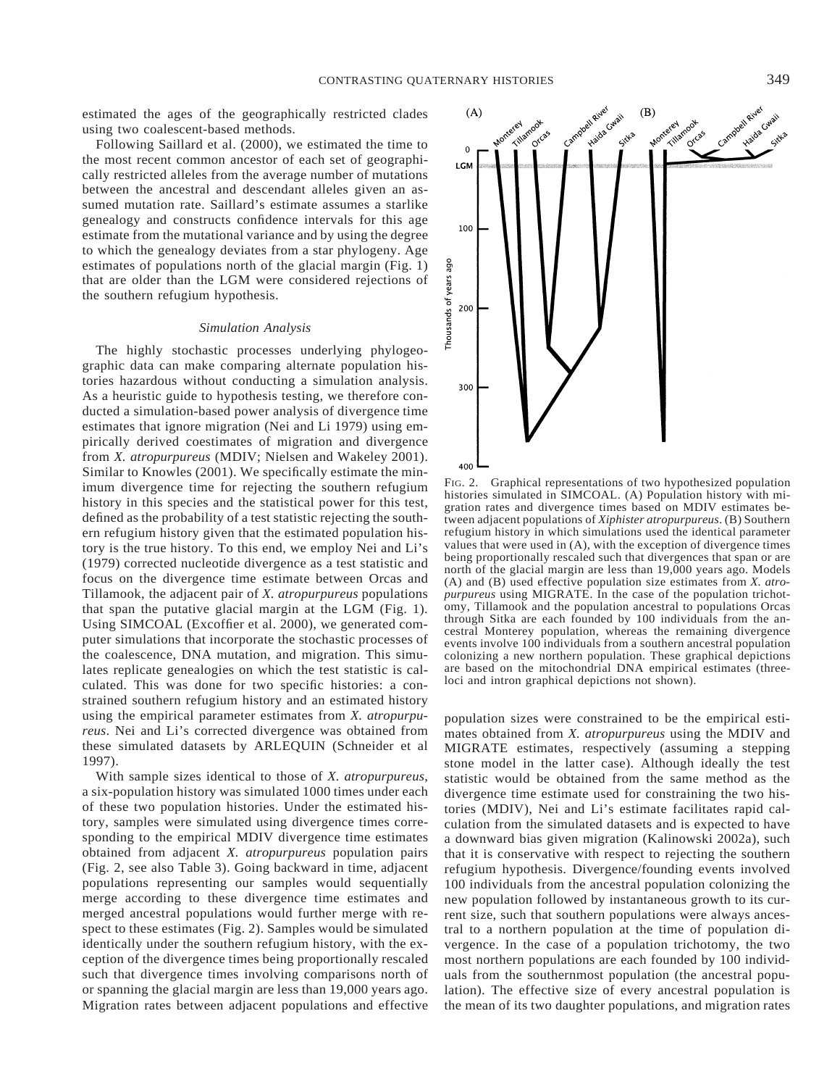estimated the ages of the geographically restricted clades using two coalescent-based methods.

Following Saillard et al. (2000), we estimated the time to the most recent common ancestor of each set of geographically restricted alleles from the average number of mutations between the ancestral and descendant alleles given an assumed mutation rate. Saillard's estimate assumes a starlike genealogy and constructs confidence intervals for this age estimate from the mutational variance and by using the degree to which the genealogy deviates from a star phylogeny. Age estimates of populations north of the glacial margin (Fig. 1) that are older than the LGM were considered rejections of the southern refugium hypothesis.

#### *Simulation Analysis*

The highly stochastic processes underlying phylogeographic data can make comparing alternate population histories hazardous without conducting a simulation analysis. As a heuristic guide to hypothesis testing, we therefore conducted a simulation-based power analysis of divergence time estimates that ignore migration (Nei and Li 1979) using empirically derived coestimates of migration and divergence from *X. atropurpureus* (MDIV; Nielsen and Wakeley 2001). Similar to Knowles (2001). We specifically estimate the minimum divergence time for rejecting the southern refugium history in this species and the statistical power for this test, defined as the probability of a test statistic rejecting the southern refugium history given that the estimated population history is the true history. To this end, we employ Nei and Li's (1979) corrected nucleotide divergence as a test statistic and focus on the divergence time estimate between Orcas and Tillamook, the adjacent pair of *X. atropurpureus* populations that span the putative glacial margin at the LGM (Fig. 1). Using SIMCOAL (Excoffier et al. 2000), we generated computer simulations that incorporate the stochastic processes of the coalescence, DNA mutation, and migration. This simulates replicate genealogies on which the test statistic is calculated. This was done for two specific histories: a constrained southern refugium history and an estimated history using the empirical parameter estimates from *X. atropurpureus*. Nei and Li's corrected divergence was obtained from these simulated datasets by ARLEQUIN (Schneider et al 1997).

With sample sizes identical to those of *X. atropurpureus*, a six-population history was simulated 1000 times under each of these two population histories. Under the estimated history, samples were simulated using divergence times corresponding to the empirical MDIV divergence time estimates obtained from adjacent *X. atropurpureus* population pairs (Fig. 2, see also Table 3). Going backward in time, adjacent populations representing our samples would sequentially merge according to these divergence time estimates and merged ancestral populations would further merge with respect to these estimates (Fig. 2). Samples would be simulated identically under the southern refugium history, with the exception of the divergence times being proportionally rescaled such that divergence times involving comparisons north of or spanning the glacial margin are less than 19,000 years ago. Migration rates between adjacent populations and effective



FIG. 2. Graphical representations of two hypothesized population histories simulated in SIMCOAL. (A) Population history with migration rates and divergence times based on MDIV estimates between adjacent populations of *Xiphister atropurpureus*. (B) Southern refugium history in which simulations used the identical parameter values that were used in (A), with the exception of divergence times being proportionally rescaled such that divergences that span or are north of the glacial margin are less than 19,000 years ago. Models (A) and (B) used effective population size estimates from *X. atropurpureus* using MIGRATE. In the case of the population trichotomy, Tillamook and the population ancestral to populations Orcas through Sitka are each founded by 100 individuals from the ancestral Monterey population, whereas the remaining divergence events involve 100 individuals from a southern ancestral population colonizing a new northern population. These graphical depictions are based on the mitochondrial DNA empirical estimates (threeloci and intron graphical depictions not shown).

population sizes were constrained to be the empirical estimates obtained from *X. atropurpureus* using the MDIV and MIGRATE estimates, respectively (assuming a stepping stone model in the latter case). Although ideally the test statistic would be obtained from the same method as the divergence time estimate used for constraining the two histories (MDIV), Nei and Li's estimate facilitates rapid calculation from the simulated datasets and is expected to have a downward bias given migration (Kalinowski 2002a), such that it is conservative with respect to rejecting the southern refugium hypothesis. Divergence/founding events involved 100 individuals from the ancestral population colonizing the new population followed by instantaneous growth to its current size, such that southern populations were always ancestral to a northern population at the time of population divergence. In the case of a population trichotomy, the two most northern populations are each founded by 100 individuals from the southernmost population (the ancestral population). The effective size of every ancestral population is the mean of its two daughter populations, and migration rates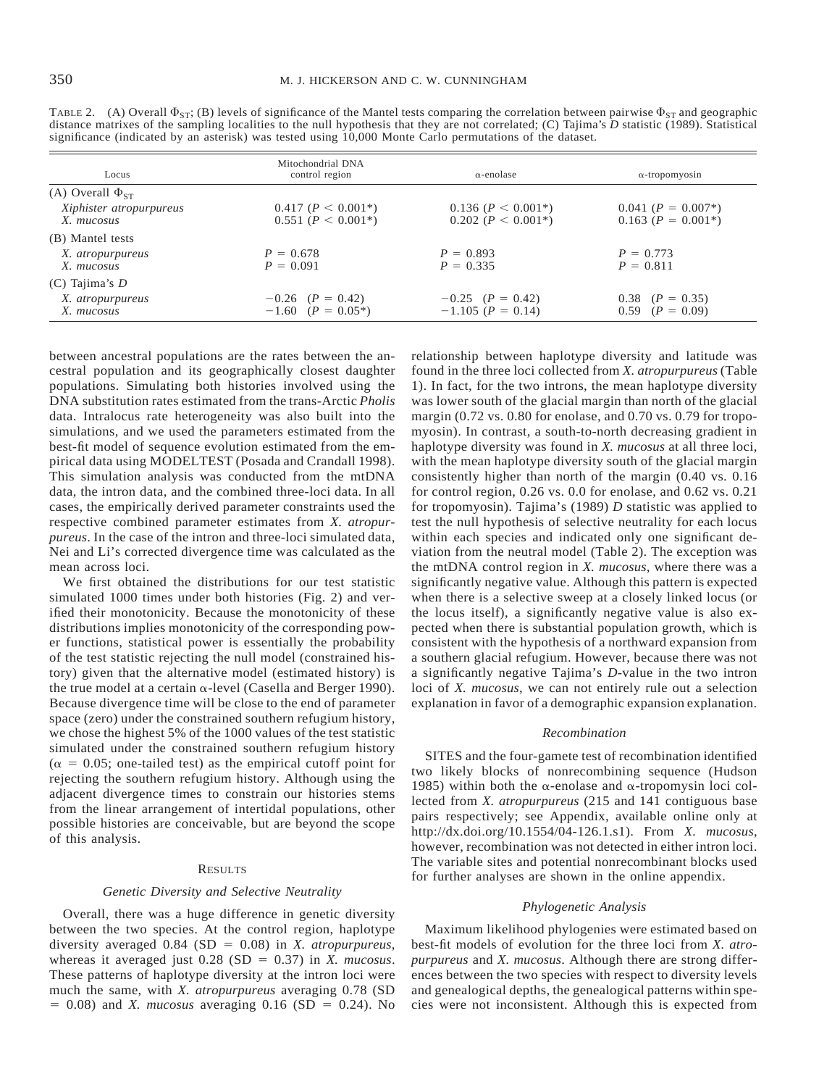| Locus                                 | Mitochondrial DNA<br>control region                  | $\alpha$ -enolase                                      | $\alpha$ -tropomyosin                                  |
|---------------------------------------|------------------------------------------------------|--------------------------------------------------------|--------------------------------------------------------|
| (A) Overall $\Phi_{ST}$               |                                                      |                                                        |                                                        |
| Xiphister atropurpureus<br>X. mucosus | $0.417 \; (P \leq 0.001^*)$<br>$0.551 (P < 0.001^*)$ | $0.136$ ( $P < 0.001^*$ )<br>$0.202$ ( $P < 0.001^*$ ) | $0.041$ ( $P = 0.007^*$ )<br>$0.163$ ( $P = 0.001^*$ ) |
| (B) Mantel tests                      |                                                      |                                                        |                                                        |
| X. atropurpureus<br>X. mucosus        | $P = 0.678$<br>$P = 0.091$                           | $P = 0.893$<br>$P = 0.335$                             | $P = 0.773$<br>$P = 0.811$                             |
| $(C)$ Tajima's D                      |                                                      |                                                        |                                                        |
| X. atropurpureus<br>X. mucosus        | $-0.26$ $(P = 0.42)$<br>$-1.60$ $(P = 0.05^*)$       | $-0.25$ $(P = 0.42)$<br>$-1.105$ ( $P = 0.14$ )        | $0.38$ $(P = 0.35)$<br>$0.59$ $(P = 0.09)$             |

TABLE 2. (A) Overall  $\Phi_{ST}$ ; (B) levels of significance of the Mantel tests comparing the correlation between pairwise  $\Phi_{ST}$  and geographic distance matrixes of the sampling localities to the null hypothesis that they are not correlated; (C) Tajima's *D* statistic (1989). Statistical significance (indicated by an asterisk) was tested using 10,000 Monte Carlo permutations of the dataset.

between ancestral populations are the rates between the ancestral population and its geographically closest daughter populations. Simulating both histories involved using the DNA substitution rates estimated from the trans-Arctic *Pholis* data. Intralocus rate heterogeneity was also built into the simulations, and we used the parameters estimated from the best-fit model of sequence evolution estimated from the empirical data using MODELTEST (Posada and Crandall 1998). This simulation analysis was conducted from the mtDNA data, the intron data, and the combined three-loci data. In all cases, the empirically derived parameter constraints used the respective combined parameter estimates from *X. atropurpureus*. In the case of the intron and three-loci simulated data, Nei and Li's corrected divergence time was calculated as the mean across loci.

We first obtained the distributions for our test statistic simulated 1000 times under both histories (Fig. 2) and verified their monotonicity. Because the monotonicity of these distributions implies monotonicity of the corresponding power functions, statistical power is essentially the probability of the test statistic rejecting the null model (constrained history) given that the alternative model (estimated history) is the true model at a certain  $\alpha$ -level (Casella and Berger 1990). Because divergence time will be close to the end of parameter space (zero) under the constrained southern refugium history, we chose the highest 5% of the 1000 values of the test statistic simulated under the constrained southern refugium history  $(\alpha = 0.05;$  one-tailed test) as the empirical cutoff point for rejecting the southern refugium history. Although using the adjacent divergence times to constrain our histories stems from the linear arrangement of intertidal populations, other possible histories are conceivable, but are beyond the scope of this analysis.

## **RESULTS**

## *Genetic Diversity and Selective Neutrality*

Overall, there was a huge difference in genetic diversity between the two species. At the control region, haplotype diversity averaged  $0.84$  (SD = 0.08) in *X. atropurpureus*, whereas it averaged just  $0.28$  (SD = 0.37) in *X. mucosus*. These patterns of haplotype diversity at the intron loci were much the same, with *X. atropurpureus* averaging 0.78 (SD  $= 0.08$ ) and *X. mucosus* averaging 0.16 (SD  $= 0.24$ ). No relationship between haplotype diversity and latitude was found in the three loci collected from *X. atropurpureus* (Table 1). In fact, for the two introns, the mean haplotype diversity was lower south of the glacial margin than north of the glacial margin (0.72 vs. 0.80 for enolase, and 0.70 vs. 0.79 for tropomyosin). In contrast, a south-to-north decreasing gradient in haplotype diversity was found in *X. mucosus* at all three loci, with the mean haplotype diversity south of the glacial margin consistently higher than north of the margin (0.40 vs. 0.16 for control region, 0.26 vs. 0.0 for enolase, and 0.62 vs. 0.21 for tropomyosin). Tajima's (1989) *D* statistic was applied to test the null hypothesis of selective neutrality for each locus within each species and indicated only one significant deviation from the neutral model (Table 2). The exception was the mtDNA control region in *X. mucosus*, where there was a significantly negative value. Although this pattern is expected when there is a selective sweep at a closely linked locus (or the locus itself), a significantly negative value is also expected when there is substantial population growth, which is consistent with the hypothesis of a northward expansion from a southern glacial refugium. However, because there was not a significantly negative Tajima's *D*-value in the two intron loci of *X. mucosus*, we can not entirely rule out a selection explanation in favor of a demographic expansion explanation.

#### *Recombination*

SITES and the four-gamete test of recombination identified two likely blocks of nonrecombining sequence (Hudson 1985) within both the  $\alpha$ -enolase and  $\alpha$ -tropomysin loci collected from *X. atropurpureus* (215 and 141 contiguous base pairs respectively; see Appendix, available online only at http://dx.doi.org/10.1554/04-126.1.s1). From *X. mucosus*, however, recombination was not detected in either intron loci. The variable sites and potential nonrecombinant blocks used for further analyses are shown in the online appendix.

## *Phylogenetic Analysis*

Maximum likelihood phylogenies were estimated based on best-fit models of evolution for the three loci from *X. atropurpureus* and *X. mucosus*. Although there are strong differences between the two species with respect to diversity levels and genealogical depths, the genealogical patterns within species were not inconsistent. Although this is expected from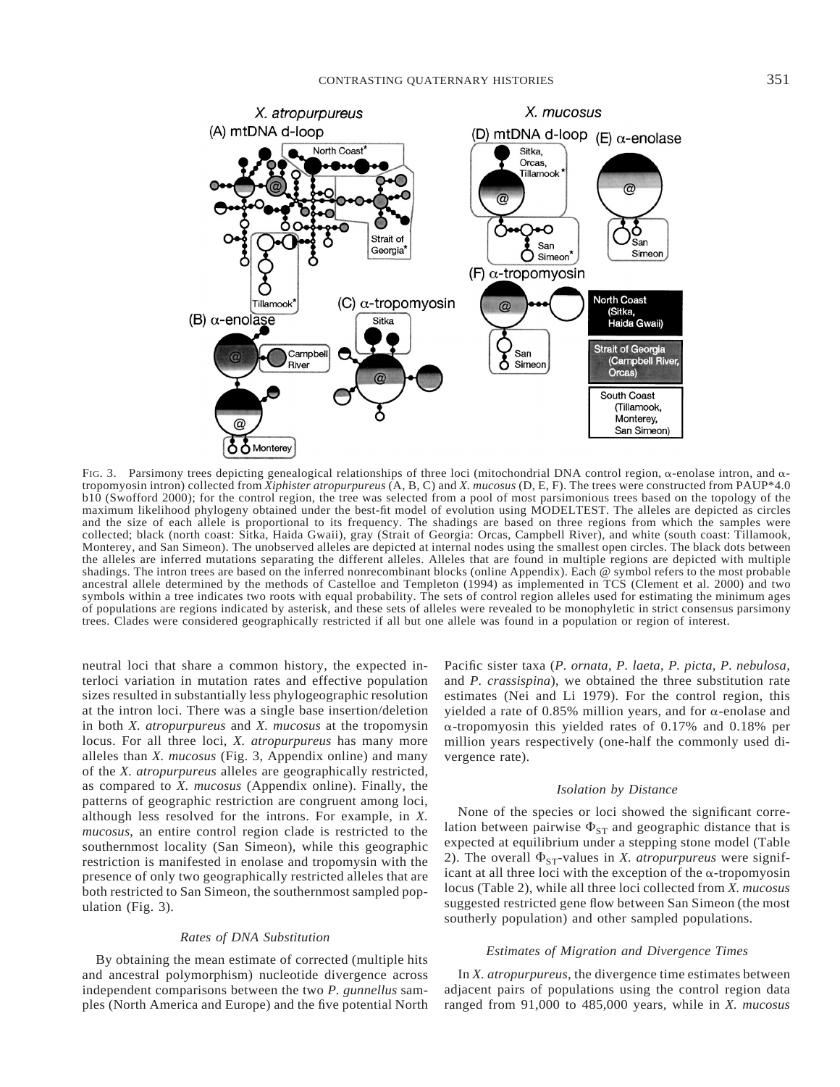

FIG. 3. Parsimony trees depicting genealogical relationships of three loci (mitochondrial DNA control region,  $\alpha$ -enolase intron, and  $\alpha$ tropomyosin intron) collected from *Xiphister atropurpureus* (A, B, C) and *X. mucosus* (D, E, F). The trees were constructed from PAUP\*4.0 b10 (Swofford 2000); for the control region, the tree was selected from a pool of most parsimonious trees based on the topology of the maximum likelihood phylogeny obtained under the best-fit model of evolution using MODELTEST. The alleles are depicted as circles and the size of each allele is proportional to its frequency. The shadings are based on three regions from which the samples were collected; black (north coast: Sitka, Haida Gwaii), gray (Strait of Georgia: Orcas, Campbell River), and white (south coast: Tillamook, Monterey, and San Simeon). The unobserved alleles are depicted at internal nodes using the smallest open circles. The black dots between the alleles are inferred mutations separating the different alleles. Alleles that are found in multiple regions are depicted with multiple shadings. The intron trees are based on the inferred nonrecombinant blocks (online Appendix). Each @ symbol refers to the most probable ancestral allele determined by the methods of Castelloe and Templeton (1994) as implemented in TCS (Clement et al. 2000) and two symbols within a tree indicates two roots with equal probability. The sets of control region alleles used for estimating the minimum ages of populations are regions indicated by asterisk, and these sets of alleles were revealed to be monophyletic in strict consensus parsimony trees. Clades were considered geographically restricted if all but one allele was found in a population or region of interest.

neutral loci that share a common history, the expected interloci variation in mutation rates and effective population sizes resulted in substantially less phylogeographic resolution at the intron loci. There was a single base insertion/deletion in both *X. atropurpureus* and *X. mucosus* at the tropomysin locus. For all three loci, *X. atropurpureus* has many more alleles than *X. mucosus* (Fig. 3, Appendix online) and many of the *X. atropurpureus* alleles are geographically restricted, as compared to *X. mucosus* (Appendix online). Finally, the patterns of geographic restriction are congruent among loci, although less resolved for the introns. For example, in *X. mucosus*, an entire control region clade is restricted to the southernmost locality (San Simeon), while this geographic restriction is manifested in enolase and tropomysin with the presence of only two geographically restricted alleles that are both restricted to San Simeon, the southernmost sampled population (Fig. 3).

#### *Rates of DNA Substitution*

By obtaining the mean estimate of corrected (multiple hits and ancestral polymorphism) nucleotide divergence across independent comparisons between the two *P. gunnellus* samples (North America and Europe) and the five potential North

Pacific sister taxa (*P. ornata*, *P. laeta*, *P. picta*, *P. nebulosa*, and *P. crassispina*), we obtained the three substitution rate estimates (Nei and Li 1979). For the control region, this yielded a rate of 0.85% million years, and for  $\alpha$ -enolase and  $\alpha$ -tropomyosin this yielded rates of 0.17% and 0.18% per million years respectively (one-half the commonly used divergence rate).

## *Isolation by Distance*

None of the species or loci showed the significant correlation between pairwise  $\Phi_{ST}$  and geographic distance that is expected at equilibrium under a stepping stone model (Table 2). The overall  $\Phi_{ST}$ -values in *X. atropurpureus* were significant at all three loci with the exception of the  $\alpha$ -tropomyosin locus (Table 2), while all three loci collected from *X. mucosus* suggested restricted gene flow between San Simeon (the most southerly population) and other sampled populations.

## *Estimates of Migration and Divergence Times*

In *X. atropurpureus*, the divergence time estimates between adjacent pairs of populations using the control region data ranged from 91,000 to 485,000 years, while in *X. mucosus*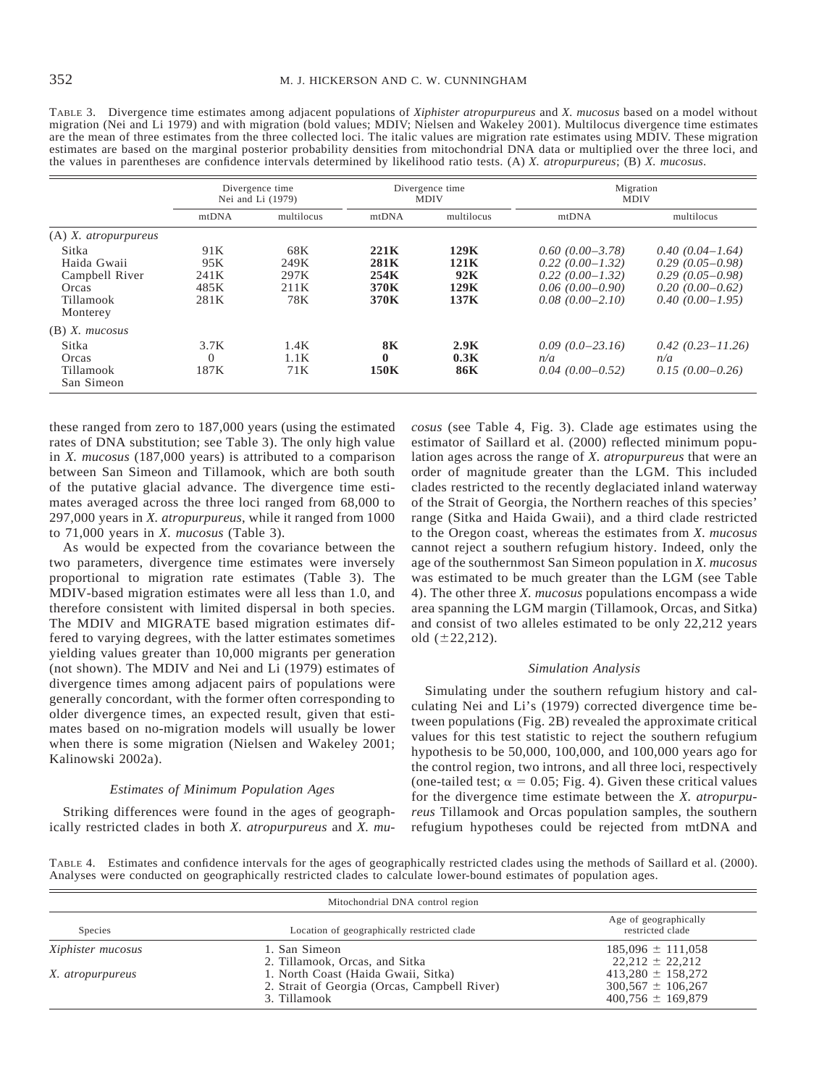| TABLE 3. Divergence time estimates among adjacent populations of Xiphister atropurpureus and X. mucosus based on a model without          |
|-------------------------------------------------------------------------------------------------------------------------------------------|
| migration (Nei and Li 1979) and with migration (bold values; MDIV; Nielsen and Wakeley 2001). Multilocus divergence time estimates        |
| are the mean of three estimates from the three collected loci. The italic values are migration rate estimates using MDIV. These migration |
| estimates are based on the marginal posterior probability densities from mitochondrial DNA data or multiplied over the three loci, and    |
| the values in parentheses are confidence intervals determined by likelihood ratio tests. (A) X. atropurpureus; (B) X. mucosus.            |

|                                                                          | Divergence time<br>Nei and Li (1979)           |                                    | Divergence time<br><b>MDIV</b>       |                                     | Migration<br><b>MDIV</b>                                                                                  |                                                                                                             |
|--------------------------------------------------------------------------|------------------------------------------------|------------------------------------|--------------------------------------|-------------------------------------|-----------------------------------------------------------------------------------------------------------|-------------------------------------------------------------------------------------------------------------|
|                                                                          | mtDNA                                          | multilocus                         | mtDNA                                | multilocus                          | mtDNA                                                                                                     | multilocus                                                                                                  |
| $(A)$ X. atropurpureus                                                   |                                                |                                    |                                      |                                     |                                                                                                           |                                                                                                             |
| Sitka<br>Haida Gwaii<br>Campbell River<br>Orcas<br>Tillamook<br>Monterey | 91 <sub>K</sub><br>95K<br>241K<br>485K<br>281K | 68K<br>249K<br>297K<br>211K<br>78K | 221K<br>281K<br>254K<br>370K<br>370K | 129K<br>121K<br>92K<br>129K<br>137K | $0.60(0.00 - 3.78)$<br>$0.22(0.00-1.32)$<br>$0.22(0.00-1.32)$<br>$0.06(0.00-0.90)$<br>$0.08(0.00 - 2.10)$ | $0.40(0.04 - 1.64)$<br>$0.29(0.05-0.98)$<br>$0.29(0.05-0.98)$<br>$0.20(0.00 - 0.62)$<br>$0.40(0.00 - 1.95)$ |
| $(B)$ X. mucosus                                                         |                                                |                                    |                                      |                                     |                                                                                                           |                                                                                                             |
| Sitka<br>Orcas<br>Tillamook<br>San Simeon                                | 3.7K<br>$\Omega$<br>187K                       | 1.4K<br>1.1K<br>71K                | <b>8K</b><br>$\bf{0}$<br>150K        | 2.9K<br>0.3K<br><b>86K</b>          | $0.09(0.0-23.16)$<br>n/a<br>$0.04(0.00 - 0.52)$                                                           | $0.42(0.23 - 11.26)$<br>n/a<br>$0.15(0.00 - 0.26)$                                                          |

these ranged from zero to 187,000 years (using the estimated rates of DNA substitution; see Table 3). The only high value in *X. mucosus* (187,000 years) is attributed to a comparison between San Simeon and Tillamook, which are both south of the putative glacial advance. The divergence time estimates averaged across the three loci ranged from 68,000 to 297,000 years in *X. atropurpureus*, while it ranged from 1000 to 71,000 years in *X. mucosus* (Table 3).

As would be expected from the covariance between the two parameters, divergence time estimates were inversely proportional to migration rate estimates (Table 3). The MDIV-based migration estimates were all less than 1.0, and therefore consistent with limited dispersal in both species. The MDIV and MIGRATE based migration estimates differed to varying degrees, with the latter estimates sometimes yielding values greater than 10,000 migrants per generation (not shown). The MDIV and Nei and Li (1979) estimates of divergence times among adjacent pairs of populations were generally concordant, with the former often corresponding to older divergence times, an expected result, given that estimates based on no-migration models will usually be lower when there is some migration (Nielsen and Wakeley 2001; Kalinowski 2002a).

## *Estimates of Minimum Population Ages*

Striking differences were found in the ages of geographically restricted clades in both *X. atropurpureus* and *X. mu-* *cosus* (see Table 4, Fig. 3). Clade age estimates using the estimator of Saillard et al. (2000) reflected minimum population ages across the range of *X. atropurpureus* that were an order of magnitude greater than the LGM. This included clades restricted to the recently deglaciated inland waterway of the Strait of Georgia, the Northern reaches of this species' range (Sitka and Haida Gwaii), and a third clade restricted to the Oregon coast, whereas the estimates from *X. mucosus* cannot reject a southern refugium history. Indeed, only the age of the southernmost San Simeon population in *X. mucosus* was estimated to be much greater than the LGM (see Table 4). The other three *X. mucosus* populations encompass a wide area spanning the LGM margin (Tillamook, Orcas, and Sitka) and consist of two alleles estimated to be only 22,212 years old  $(\pm 22, 212)$ .

## *Simulation Analysis*

Simulating under the southern refugium history and calculating Nei and Li's (1979) corrected divergence time between populations (Fig. 2B) revealed the approximate critical values for this test statistic to reject the southern refugium hypothesis to be 50,000, 100,000, and 100,000 years ago for the control region, two introns, and all three loci, respectively (one-tailed test;  $\alpha = 0.05$ ; Fig. 4). Given these critical values for the divergence time estimate between the *X. atropurpureus* Tillamook and Orcas population samples, the southern refugium hypotheses could be rejected from mtDNA and

TABLE 4. Estimates and confidence intervals for the ages of geographically restricted clades using the methods of Saillard et al. (2000). Analyses were conducted on geographically restricted clades to calculate lower-bound estimates of population ages.

| Mitochondrial DNA control region |                                                                                                     |                                                                         |  |  |
|----------------------------------|-----------------------------------------------------------------------------------------------------|-------------------------------------------------------------------------|--|--|
| Species                          | Location of geographically restricted clade                                                         | Age of geographically<br>restricted clade                               |  |  |
| Xiphister mucosus                | 1. San Simeon<br>2. Tillamook, Orcas, and Sitka                                                     | $185,096 \pm 111,058$<br>$22,212 \pm 22,212$                            |  |  |
| X. atropurpureus                 | 1. North Coast (Haida Gwaii, Sitka)<br>2. Strait of Georgia (Orcas, Campbell River)<br>3. Tillamook | $413,280 \pm 158,272$<br>$300,567 \pm 106,267$<br>$400,756 \pm 169,879$ |  |  |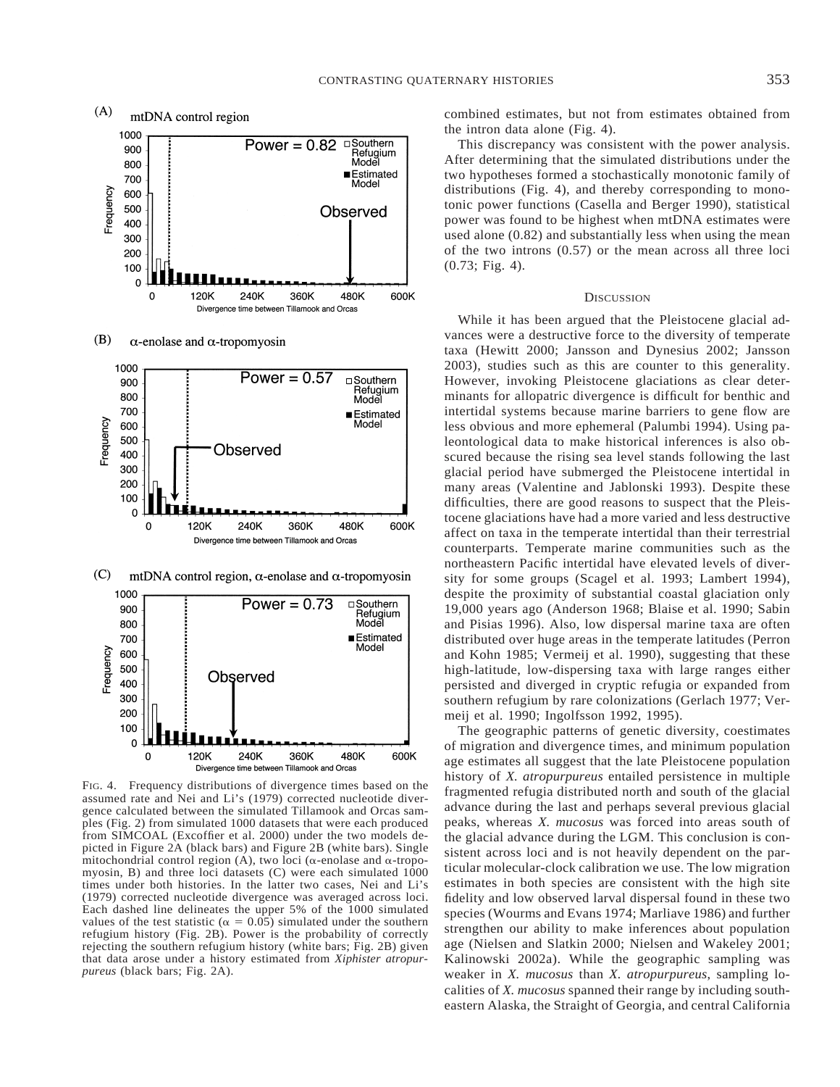

 $(B)$  $\alpha$ -enolase and  $\alpha$ -tropomyosin





 $(C)$ mtDNA control region, α-enolase and α-tropomyosin

FIG. 4. Frequency distributions of divergence times based on the assumed rate and Nei and Li's (1979) corrected nucleotide divergence calculated between the simulated Tillamook and Orcas samples (Fig. 2) from simulated 1000 datasets that were each produced from SIMCOAL (Excoffier et al. 2000) under the two models depicted in Figure 2A (black bars) and Figure 2B (white bars). Single mitochondrial control region (A), two loci ( $\alpha$ -enolase and  $\alpha$ -tropomyosin, B) and three loci datasets (C) were each simulated 1000 times under both histories. In the latter two cases, Nei and Li's (1979) corrected nucleotide divergence was averaged across loci. Each dashed line delineates the upper 5% of the 1000 simulated values of the test statistic ( $\alpha = 0.05$ ) simulated under the southern refugium history (Fig. 2B). Power is the probability of correctly rejecting the southern refugium history (white bars; Fig. 2B) given that data arose under a history estimated from *Xiphister atropurpureus* (black bars; Fig. 2A).

combined estimates, but not from estimates obtained from the intron data alone (Fig. 4).

This discrepancy was consistent with the power analysis. After determining that the simulated distributions under the two hypotheses formed a stochastically monotonic family of distributions (Fig. 4), and thereby corresponding to monotonic power functions (Casella and Berger 1990), statistical power was found to be highest when mtDNA estimates were used alone (0.82) and substantially less when using the mean of the two introns (0.57) or the mean across all three loci (0.73; Fig. 4).

#### **DISCUSSION**

While it has been argued that the Pleistocene glacial advances were a destructive force to the diversity of temperate taxa (Hewitt 2000; Jansson and Dynesius 2002; Jansson 2003), studies such as this are counter to this generality. However, invoking Pleistocene glaciations as clear determinants for allopatric divergence is difficult for benthic and intertidal systems because marine barriers to gene flow are less obvious and more ephemeral (Palumbi 1994). Using paleontological data to make historical inferences is also obscured because the rising sea level stands following the last glacial period have submerged the Pleistocene intertidal in many areas (Valentine and Jablonski 1993). Despite these difficulties, there are good reasons to suspect that the Pleistocene glaciations have had a more varied and less destructive affect on taxa in the temperate intertidal than their terrestrial counterparts. Temperate marine communities such as the northeastern Pacific intertidal have elevated levels of diversity for some groups (Scagel et al. 1993; Lambert 1994), despite the proximity of substantial coastal glaciation only 19,000 years ago (Anderson 1968; Blaise et al. 1990; Sabin and Pisias 1996). Also, low dispersal marine taxa are often distributed over huge areas in the temperate latitudes (Perron and Kohn 1985; Vermeij et al. 1990), suggesting that these high-latitude, low-dispersing taxa with large ranges either persisted and diverged in cryptic refugia or expanded from southern refugium by rare colonizations (Gerlach 1977; Vermeij et al. 1990; Ingolfsson 1992, 1995).

The geographic patterns of genetic diversity, coestimates of migration and divergence times, and minimum population age estimates all suggest that the late Pleistocene population history of *X. atropurpureus* entailed persistence in multiple fragmented refugia distributed north and south of the glacial advance during the last and perhaps several previous glacial peaks, whereas *X. mucosus* was forced into areas south of the glacial advance during the LGM. This conclusion is consistent across loci and is not heavily dependent on the particular molecular-clock calibration we use. The low migration estimates in both species are consistent with the high site fidelity and low observed larval dispersal found in these two species (Wourms and Evans 1974; Marliave 1986) and further strengthen our ability to make inferences about population age (Nielsen and Slatkin 2000; Nielsen and Wakeley 2001; Kalinowski 2002a). While the geographic sampling was weaker in *X. mucosus* than *X. atropurpureus*, sampling localities of *X. mucosus* spanned their range by including southeastern Alaska, the Straight of Georgia, and central California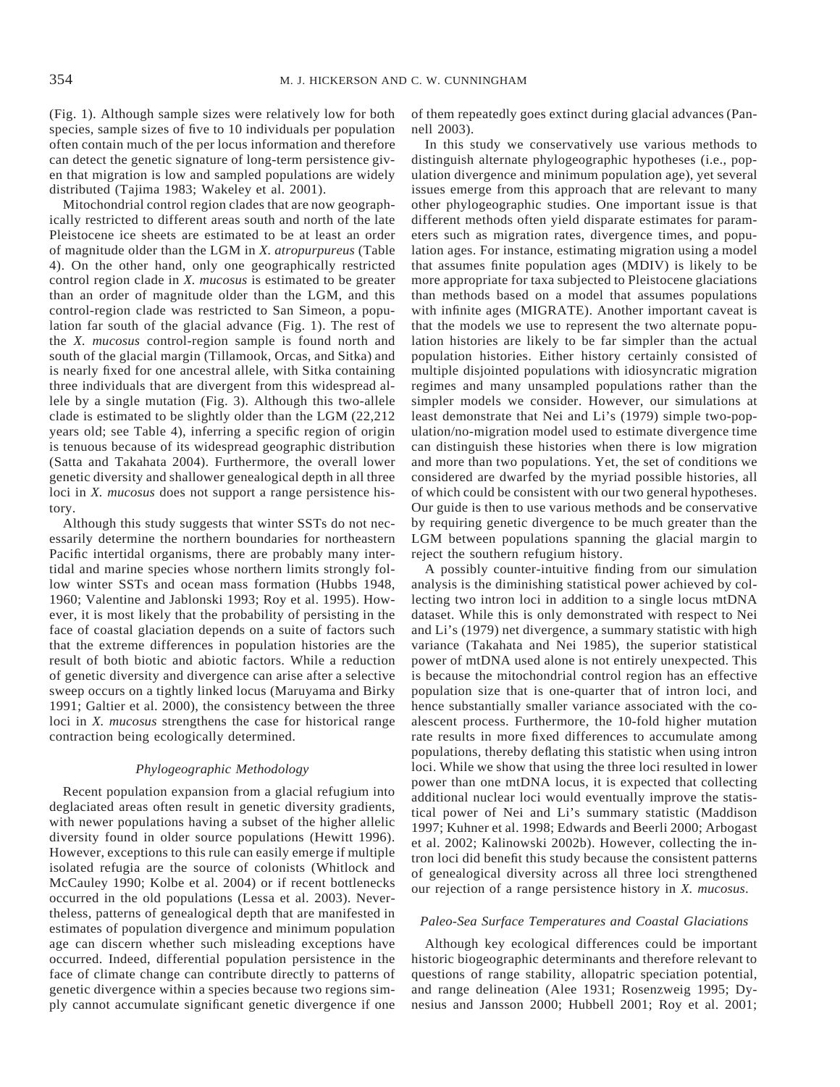(Fig. 1). Although sample sizes were relatively low for both species, sample sizes of five to 10 individuals per population often contain much of the per locus information and therefore can detect the genetic signature of long-term persistence given that migration is low and sampled populations are widely distributed (Tajima 1983; Wakeley et al. 2001).

Mitochondrial control region clades that are now geographically restricted to different areas south and north of the late Pleistocene ice sheets are estimated to be at least an order of magnitude older than the LGM in *X. atropurpureus* (Table 4). On the other hand, only one geographically restricted control region clade in *X. mucosus* is estimated to be greater than an order of magnitude older than the LGM, and this control-region clade was restricted to San Simeon, a population far south of the glacial advance (Fig. 1). The rest of the *X. mucosus* control-region sample is found north and south of the glacial margin (Tillamook, Orcas, and Sitka) and is nearly fixed for one ancestral allele, with Sitka containing three individuals that are divergent from this widespread allele by a single mutation (Fig. 3). Although this two-allele clade is estimated to be slightly older than the LGM (22,212 years old; see Table 4), inferring a specific region of origin is tenuous because of its widespread geographic distribution (Satta and Takahata 2004). Furthermore, the overall lower genetic diversity and shallower genealogical depth in all three loci in *X. mucosus* does not support a range persistence history.

Although this study suggests that winter SSTs do not necessarily determine the northern boundaries for northeastern Pacific intertidal organisms, there are probably many intertidal and marine species whose northern limits strongly follow winter SSTs and ocean mass formation (Hubbs 1948, 1960; Valentine and Jablonski 1993; Roy et al. 1995). However, it is most likely that the probability of persisting in the face of coastal glaciation depends on a suite of factors such that the extreme differences in population histories are the result of both biotic and abiotic factors. While a reduction of genetic diversity and divergence can arise after a selective sweep occurs on a tightly linked locus (Maruyama and Birky 1991; Galtier et al. 2000), the consistency between the three loci in *X. mucosus* strengthens the case for historical range contraction being ecologically determined.

# *Phylogeographic Methodology*

Recent population expansion from a glacial refugium into deglaciated areas often result in genetic diversity gradients, with newer populations having a subset of the higher allelic diversity found in older source populations (Hewitt 1996). However, exceptions to this rule can easily emerge if multiple isolated refugia are the source of colonists (Whitlock and McCauley 1990; Kolbe et al. 2004) or if recent bottlenecks occurred in the old populations (Lessa et al. 2003). Nevertheless, patterns of genealogical depth that are manifested in estimates of population divergence and minimum population age can discern whether such misleading exceptions have occurred. Indeed, differential population persistence in the face of climate change can contribute directly to patterns of genetic divergence within a species because two regions simply cannot accumulate significant genetic divergence if one of them repeatedly goes extinct during glacial advances (Pannell 2003).

In this study we conservatively use various methods to distinguish alternate phylogeographic hypotheses (i.e., population divergence and minimum population age), yet several issues emerge from this approach that are relevant to many other phylogeographic studies. One important issue is that different methods often yield disparate estimates for parameters such as migration rates, divergence times, and population ages. For instance, estimating migration using a model that assumes finite population ages (MDIV) is likely to be more appropriate for taxa subjected to Pleistocene glaciations than methods based on a model that assumes populations with infinite ages (MIGRATE). Another important caveat is that the models we use to represent the two alternate population histories are likely to be far simpler than the actual population histories. Either history certainly consisted of multiple disjointed populations with idiosyncratic migration regimes and many unsampled populations rather than the simpler models we consider. However, our simulations at least demonstrate that Nei and Li's (1979) simple two-population/no-migration model used to estimate divergence time can distinguish these histories when there is low migration and more than two populations. Yet, the set of conditions we considered are dwarfed by the myriad possible histories, all of which could be consistent with our two general hypotheses. Our guide is then to use various methods and be conservative by requiring genetic divergence to be much greater than the LGM between populations spanning the glacial margin to reject the southern refugium history.

A possibly counter-intuitive finding from our simulation analysis is the diminishing statistical power achieved by collecting two intron loci in addition to a single locus mtDNA dataset. While this is only demonstrated with respect to Nei and Li's (1979) net divergence, a summary statistic with high variance (Takahata and Nei 1985), the superior statistical power of mtDNA used alone is not entirely unexpected. This is because the mitochondrial control region has an effective population size that is one-quarter that of intron loci, and hence substantially smaller variance associated with the coalescent process. Furthermore, the 10-fold higher mutation rate results in more fixed differences to accumulate among populations, thereby deflating this statistic when using intron loci. While we show that using the three loci resulted in lower power than one mtDNA locus, it is expected that collecting additional nuclear loci would eventually improve the statistical power of Nei and Li's summary statistic (Maddison 1997; Kuhner et al. 1998; Edwards and Beerli 2000; Arbogast et al. 2002; Kalinowski 2002b). However, collecting the intron loci did benefit this study because the consistent patterns of genealogical diversity across all three loci strengthened our rejection of a range persistence history in *X. mucosus*.

## *Paleo-Sea Surface Temperatures and Coastal Glaciations*

Although key ecological differences could be important historic biogeographic determinants and therefore relevant to questions of range stability, allopatric speciation potential, and range delineation (Alee 1931; Rosenzweig 1995; Dynesius and Jansson 2000; Hubbell 2001; Roy et al. 2001;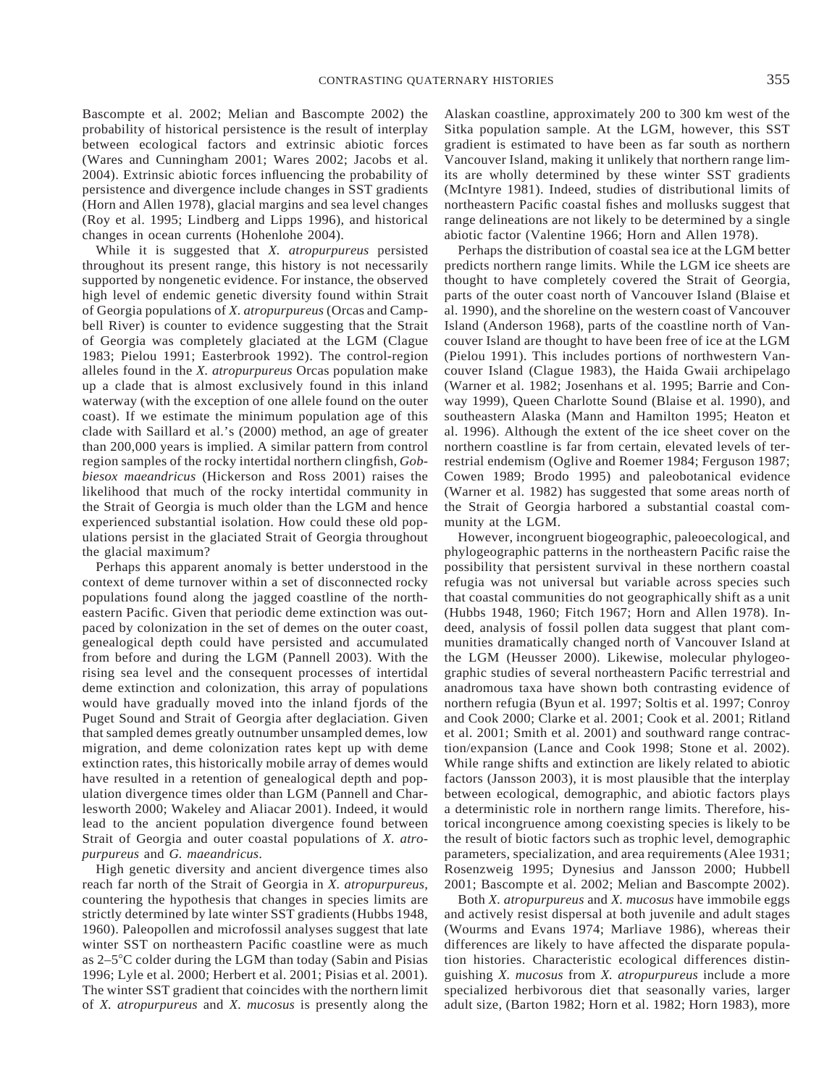Bascompte et al. 2002; Melian and Bascompte 2002) the probability of historical persistence is the result of interplay between ecological factors and extrinsic abiotic forces (Wares and Cunningham 2001; Wares 2002; Jacobs et al. 2004). Extrinsic abiotic forces influencing the probability of persistence and divergence include changes in SST gradients (Horn and Allen 1978), glacial margins and sea level changes (Roy et al. 1995; Lindberg and Lipps 1996), and historical changes in ocean currents (Hohenlohe 2004).

While it is suggested that *X. atropurpureus* persisted throughout its present range, this history is not necessarily supported by nongenetic evidence. For instance, the observed high level of endemic genetic diversity found within Strait of Georgia populations of *X. atropurpureus* (Orcas and Campbell River) is counter to evidence suggesting that the Strait of Georgia was completely glaciated at the LGM (Clague 1983; Pielou 1991; Easterbrook 1992). The control-region alleles found in the *X. atropurpureus* Orcas population make up a clade that is almost exclusively found in this inland waterway (with the exception of one allele found on the outer coast). If we estimate the minimum population age of this clade with Saillard et al.'s (2000) method, an age of greater than 200,000 years is implied. A similar pattern from control region samples of the rocky intertidal northern clingfish, *Gobbiesox maeandricus* (Hickerson and Ross 2001) raises the likelihood that much of the rocky intertidal community in the Strait of Georgia is much older than the LGM and hence experienced substantial isolation. How could these old populations persist in the glaciated Strait of Georgia throughout the glacial maximum?

Perhaps this apparent anomaly is better understood in the context of deme turnover within a set of disconnected rocky populations found along the jagged coastline of the northeastern Pacific. Given that periodic deme extinction was outpaced by colonization in the set of demes on the outer coast, genealogical depth could have persisted and accumulated from before and during the LGM (Pannell 2003). With the rising sea level and the consequent processes of intertidal deme extinction and colonization, this array of populations would have gradually moved into the inland fjords of the Puget Sound and Strait of Georgia after deglaciation. Given that sampled demes greatly outnumber unsampled demes, low migration, and deme colonization rates kept up with deme extinction rates, this historically mobile array of demes would have resulted in a retention of genealogical depth and population divergence times older than LGM (Pannell and Charlesworth 2000; Wakeley and Aliacar 2001). Indeed, it would lead to the ancient population divergence found between Strait of Georgia and outer coastal populations of *X. atropurpureus* and *G. maeandricus*.

High genetic diversity and ancient divergence times also reach far north of the Strait of Georgia in *X. atropurpureus*, countering the hypothesis that changes in species limits are strictly determined by late winter SST gradients (Hubbs 1948, 1960). Paleopollen and microfossil analyses suggest that late winter SST on northeastern Pacific coastline were as much as  $2-5^{\circ}$ C colder during the LGM than today (Sabin and Pisias 1996; Lyle et al. 2000; Herbert et al. 2001; Pisias et al. 2001). The winter SST gradient that coincides with the northern limit of *X. atropurpureus* and *X. mucosus* is presently along the Alaskan coastline, approximately 200 to 300 km west of the Sitka population sample. At the LGM, however, this SST gradient is estimated to have been as far south as northern Vancouver Island, making it unlikely that northern range limits are wholly determined by these winter SST gradients (McIntyre 1981). Indeed, studies of distributional limits of northeastern Pacific coastal fishes and mollusks suggest that range delineations are not likely to be determined by a single abiotic factor (Valentine 1966; Horn and Allen 1978).

Perhaps the distribution of coastal sea ice at the LGM better predicts northern range limits. While the LGM ice sheets are thought to have completely covered the Strait of Georgia, parts of the outer coast north of Vancouver Island (Blaise et al. 1990), and the shoreline on the western coast of Vancouver Island (Anderson 1968), parts of the coastline north of Vancouver Island are thought to have been free of ice at the LGM (Pielou 1991). This includes portions of northwestern Vancouver Island (Clague 1983), the Haida Gwaii archipelago (Warner et al. 1982; Josenhans et al. 1995; Barrie and Conway 1999), Queen Charlotte Sound (Blaise et al. 1990), and southeastern Alaska (Mann and Hamilton 1995; Heaton et al. 1996). Although the extent of the ice sheet cover on the northern coastline is far from certain, elevated levels of terrestrial endemism (Oglive and Roemer 1984; Ferguson 1987; Cowen 1989; Brodo 1995) and paleobotanical evidence (Warner et al. 1982) has suggested that some areas north of the Strait of Georgia harbored a substantial coastal community at the LGM.

However, incongruent biogeographic, paleoecological, and phylogeographic patterns in the northeastern Pacific raise the possibility that persistent survival in these northern coastal refugia was not universal but variable across species such that coastal communities do not geographically shift as a unit (Hubbs 1948, 1960; Fitch 1967; Horn and Allen 1978). Indeed, analysis of fossil pollen data suggest that plant communities dramatically changed north of Vancouver Island at the LGM (Heusser 2000). Likewise, molecular phylogeographic studies of several northeastern Pacific terrestrial and anadromous taxa have shown both contrasting evidence of northern refugia (Byun et al. 1997; Soltis et al. 1997; Conroy and Cook 2000; Clarke et al. 2001; Cook et al. 2001; Ritland et al. 2001; Smith et al. 2001) and southward range contraction/expansion (Lance and Cook 1998; Stone et al. 2002). While range shifts and extinction are likely related to abiotic factors (Jansson 2003), it is most plausible that the interplay between ecological, demographic, and abiotic factors plays a deterministic role in northern range limits. Therefore, historical incongruence among coexisting species is likely to be the result of biotic factors such as trophic level, demographic parameters, specialization, and area requirements (Alee 1931; Rosenzweig 1995; Dynesius and Jansson 2000; Hubbell 2001; Bascompte et al. 2002; Melian and Bascompte 2002).

Both *X. atropurpureus* and *X. mucosus* have immobile eggs and actively resist dispersal at both juvenile and adult stages (Wourms and Evans 1974; Marliave 1986), whereas their differences are likely to have affected the disparate population histories. Characteristic ecological differences distinguishing *X. mucosus* from *X. atropurpureus* include a more specialized herbivorous diet that seasonally varies, larger adult size, (Barton 1982; Horn et al. 1982; Horn 1983), more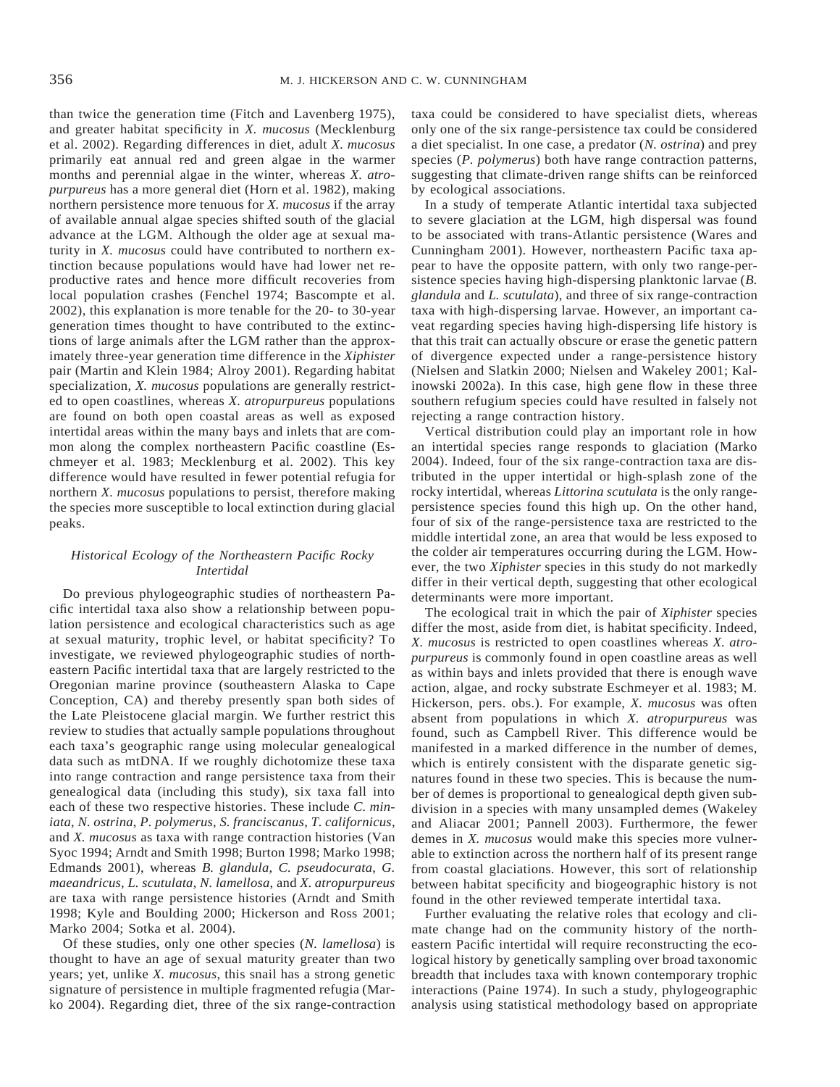than twice the generation time (Fitch and Lavenberg 1975), and greater habitat specificity in *X. mucosus* (Mecklenburg et al. 2002). Regarding differences in diet, adult *X. mucosus* primarily eat annual red and green algae in the warmer months and perennial algae in the winter, whereas *X. atropurpureus* has a more general diet (Horn et al. 1982), making northern persistence more tenuous for *X. mucosus* if the array of available annual algae species shifted south of the glacial advance at the LGM. Although the older age at sexual maturity in *X. mucosus* could have contributed to northern extinction because populations would have had lower net reproductive rates and hence more difficult recoveries from local population crashes (Fenchel 1974; Bascompte et al. 2002), this explanation is more tenable for the 20- to 30-year generation times thought to have contributed to the extinctions of large animals after the LGM rather than the approximately three-year generation time difference in the *Xiphister* pair (Martin and Klein 1984; Alroy 2001). Regarding habitat specialization, *X. mucosus* populations are generally restricted to open coastlines, whereas *X. atropurpureus* populations are found on both open coastal areas as well as exposed intertidal areas within the many bays and inlets that are common along the complex northeastern Pacific coastline (Eschmeyer et al. 1983; Mecklenburg et al. 2002). This key difference would have resulted in fewer potential refugia for northern *X. mucosus* populations to persist, therefore making the species more susceptible to local extinction during glacial peaks.

# *Historical Ecology of the Northeastern Pacific Rocky Intertidal*

Do previous phylogeographic studies of northeastern Pacific intertidal taxa also show a relationship between population persistence and ecological characteristics such as age at sexual maturity, trophic level, or habitat specificity? To investigate, we reviewed phylogeographic studies of northeastern Pacific intertidal taxa that are largely restricted to the Oregonian marine province (southeastern Alaska to Cape Conception, CA) and thereby presently span both sides of the Late Pleistocene glacial margin. We further restrict this review to studies that actually sample populations throughout each taxa's geographic range using molecular genealogical data such as mtDNA. If we roughly dichotomize these taxa into range contraction and range persistence taxa from their genealogical data (including this study), six taxa fall into each of these two respective histories. These include *C. miniata*, *N. ostrina*, *P. polymerus*, *S. franciscanus*, *T. californicus*, and *X. mucosus* as taxa with range contraction histories (Van Syoc 1994; Arndt and Smith 1998; Burton 1998; Marko 1998; Edmands 2001), whereas *B. glandula*, *C. pseudocurata*, *G. maeandricus*, *L. scutulata*, *N. lamellosa*, and *X. atropurpureus* are taxa with range persistence histories (Arndt and Smith 1998; Kyle and Boulding 2000; Hickerson and Ross 2001; Marko 2004; Sotka et al. 2004).

Of these studies, only one other species (*N. lamellosa*) is thought to have an age of sexual maturity greater than two years; yet, unlike *X. mucosus*, this snail has a strong genetic signature of persistence in multiple fragmented refugia (Marko 2004). Regarding diet, three of the six range-contraction taxa could be considered to have specialist diets, whereas only one of the six range-persistence tax could be considered a diet specialist. In one case, a predator (*N. ostrina*) and prey species (*P. polymerus*) both have range contraction patterns, suggesting that climate-driven range shifts can be reinforced by ecological associations.

In a study of temperate Atlantic intertidal taxa subjected to severe glaciation at the LGM, high dispersal was found to be associated with trans-Atlantic persistence (Wares and Cunningham 2001). However, northeastern Pacific taxa appear to have the opposite pattern, with only two range-persistence species having high-dispersing planktonic larvae (*B. glandula* and *L. scutulata*), and three of six range-contraction taxa with high-dispersing larvae. However, an important caveat regarding species having high-dispersing life history is that this trait can actually obscure or erase the genetic pattern of divergence expected under a range-persistence history (Nielsen and Slatkin 2000; Nielsen and Wakeley 2001; Kalinowski 2002a). In this case, high gene flow in these three southern refugium species could have resulted in falsely not rejecting a range contraction history.

Vertical distribution could play an important role in how an intertidal species range responds to glaciation (Marko 2004). Indeed, four of the six range-contraction taxa are distributed in the upper intertidal or high-splash zone of the rocky intertidal, whereas *Littorina scutulata* is the only rangepersistence species found this high up. On the other hand, four of six of the range-persistence taxa are restricted to the middle intertidal zone, an area that would be less exposed to the colder air temperatures occurring during the LGM. However, the two *Xiphister* species in this study do not markedly differ in their vertical depth, suggesting that other ecological determinants were more important.

The ecological trait in which the pair of *Xiphister* species differ the most, aside from diet, is habitat specificity. Indeed, *X. mucosus* is restricted to open coastlines whereas *X. atropurpureus* is commonly found in open coastline areas as well as within bays and inlets provided that there is enough wave action, algae, and rocky substrate Eschmeyer et al. 1983; M. Hickerson, pers. obs.). For example, *X. mucosus* was often absent from populations in which *X. atropurpureus* was found, such as Campbell River. This difference would be manifested in a marked difference in the number of demes, which is entirely consistent with the disparate genetic signatures found in these two species. This is because the number of demes is proportional to genealogical depth given subdivision in a species with many unsampled demes (Wakeley and Aliacar 2001; Pannell 2003). Furthermore, the fewer demes in *X. mucosus* would make this species more vulnerable to extinction across the northern half of its present range from coastal glaciations. However, this sort of relationship between habitat specificity and biogeographic history is not found in the other reviewed temperate intertidal taxa.

Further evaluating the relative roles that ecology and climate change had on the community history of the northeastern Pacific intertidal will require reconstructing the ecological history by genetically sampling over broad taxonomic breadth that includes taxa with known contemporary trophic interactions (Paine 1974). In such a study, phylogeographic analysis using statistical methodology based on appropriate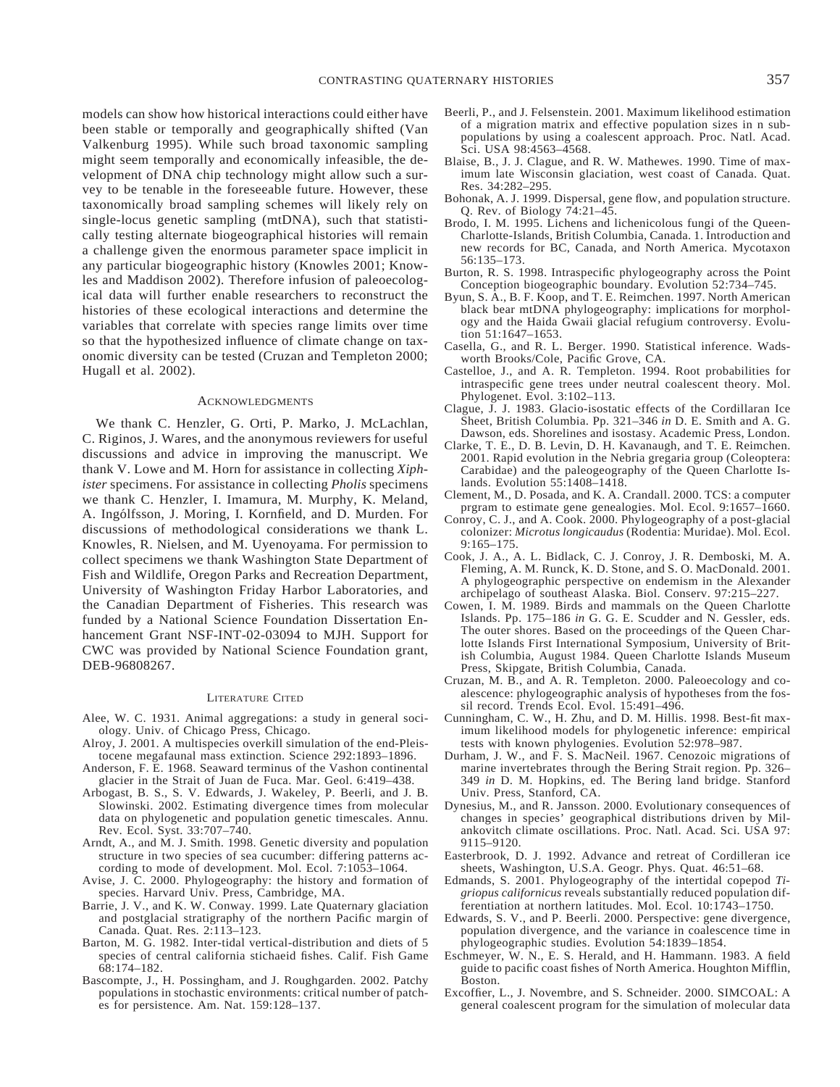models can show how historical interactions could either have been stable or temporally and geographically shifted (Van Valkenburg 1995). While such broad taxonomic sampling might seem temporally and economically infeasible, the development of DNA chip technology might allow such a survey to be tenable in the foreseeable future. However, these taxonomically broad sampling schemes will likely rely on single-locus genetic sampling (mtDNA), such that statistically testing alternate biogeographical histories will remain a challenge given the enormous parameter space implicit in any particular biogeographic history (Knowles 2001; Knowles and Maddison 2002). Therefore infusion of paleoecological data will further enable researchers to reconstruct the histories of these ecological interactions and determine the variables that correlate with species range limits over time so that the hypothesized influence of climate change on taxonomic diversity can be tested (Cruzan and Templeton 2000; Hugall et al. 2002).

#### **ACKNOWLEDGMENTS**

We thank C. Henzler, G. Orti, P. Marko, J. McLachlan, C. Riginos, J. Wares, and the anonymous reviewers for useful discussions and advice in improving the manuscript. We thank V. Lowe and M. Horn for assistance in collecting *Xiphister* specimens. For assistance in collecting *Pholis* specimens we thank C. Henzler, I. Imamura, M. Murphy, K. Meland, A. Ingólfsson, J. Moring, I. Kornfield, and D. Murden. For discussions of methodological considerations we thank L. Knowles, R. Nielsen, and M. Uyenoyama. For permission to collect specimens we thank Washington State Department of Fish and Wildlife, Oregon Parks and Recreation Department, University of Washington Friday Harbor Laboratories, and the Canadian Department of Fisheries. This research was funded by a National Science Foundation Dissertation Enhancement Grant NSF-INT-02-03094 to MJH. Support for CWC was provided by National Science Foundation grant, DEB-96808267.

#### LITERATURE CITED

- Alee, W. C. 1931. Animal aggregations: a study in general sociology. Univ. of Chicago Press, Chicago.
- Alroy, J. 2001. A multispecies overkill simulation of the end-Pleistocene megafaunal mass extinction. Science 292:1893–1896.
- Anderson, F. E. 1968. Seaward terminus of the Vashon continental glacier in the Strait of Juan de Fuca. Mar. Geol. 6:419–438.
- Arbogast, B. S., S. V. Edwards, J. Wakeley, P. Beerli, and J. B. Slowinski. 2002. Estimating divergence times from molecular data on phylogenetic and population genetic timescales. Annu. Rev. Ecol. Syst. 33:707–740.
- Arndt, A., and M. J. Smith. 1998. Genetic diversity and population structure in two species of sea cucumber: differing patterns according to mode of development. Mol. Ecol. 7:1053–1064.
- Avise, J. C. 2000. Phylogeography: the history and formation of species. Harvard Univ. Press, Cambridge, MA.
- Barrie, J. V., and K. W. Conway. 1999. Late Quaternary glaciation and postglacial stratigraphy of the northern Pacific margin of Canada. Quat. Res. 2:113–123.
- Barton, M. G. 1982. Inter-tidal vertical-distribution and diets of 5 species of central california stichaeid fishes. Calif. Fish Game 68:174–182.
- Bascompte, J., H. Possingham, and J. Roughgarden. 2002. Patchy populations in stochastic environments: critical number of patches for persistence. Am. Nat. 159:128–137.
- Beerli, P., and J. Felsenstein. 2001. Maximum likelihood estimation of a migration matrix and effective population sizes in n subpopulations by using a coalescent approach. Proc. Natl. Acad. Sci. USA 98:4563–4568.
- Blaise, B., J. J. Clague, and R. W. Mathewes. 1990. Time of maximum late Wisconsin glaciation, west coast of Canada. Quat. Res. 34:282–295.
- Bohonak, A. J. 1999. Dispersal, gene flow, and population structure. Q. Rev. of Biology 74:21–45.
- Brodo, I. M. 1995. Lichens and lichenicolous fungi of the Queen-Charlotte-Islands, British Columbia, Canada. 1. Introduction and new records for BC, Canada, and North America. Mycotaxon 56:135–173.
- Burton, R. S. 1998. Intraspecific phylogeography across the Point Conception biogeographic boundary. Evolution 52:734–745.
- Byun, S. A., B. F. Koop, and T. E. Reimchen. 1997. North American black bear mtDNA phylogeography: implications for morphology and the Haida Gwaii glacial refugium controversy. Evolution 51:1647–1653.
- Casella, G., and R. L. Berger. 1990. Statistical inference. Wadsworth Brooks/Cole, Pacific Grove, CA.
- Castelloe, J., and A. R. Templeton. 1994. Root probabilities for intraspecific gene trees under neutral coalescent theory. Mol. Phylogenet. Evol. 3:102-113.
- Clague, J. J. 1983. Glacio-isostatic effects of the Cordillaran Ice Sheet, British Columbia. Pp. 321–346 *in* D. E. Smith and A. G. Dawson, eds. Shorelines and isostasy. Academic Press, London.
- Clarke, T. E., D. B. Levin, D. H. Kavanaugh, and T. E. Reimchen. 2001. Rapid evolution in the Nebria gregaria group (Coleoptera: Carabidae) and the paleogeography of the Queen Charlotte Islands. Evolution 55:1408–1418.
- Clement, M., D. Posada, and K. A. Crandall. 2000. TCS: a computer prgram to estimate gene genealogies. Mol. Ecol. 9:1657–1660.
- Conroy, C. J., and A. Cook. 2000. Phylogeography of a post-glacial colonizer: *Microtus longicaudus* (Rodentia: Muridae). Mol. Ecol. 9:165–175.
- Cook, J. A., A. L. Bidlack, C. J. Conroy, J. R. Demboski, M. A. Fleming, A. M. Runck, K. D. Stone, and S. O. MacDonald. 2001. A phylogeographic perspective on endemism in the Alexander archipelago of southeast Alaska. Biol. Conserv. 97:215–227.
- Cowen, I. M. 1989. Birds and mammals on the Queen Charlotte Islands. Pp. 175–186 *in* G. G. E. Scudder and N. Gessler, eds. The outer shores. Based on the proceedings of the Queen Charlotte Islands First International Symposium, University of British Columbia, August 1984. Queen Charlotte Islands Museum Press, Skipgate, British Columbia, Canada.
- Cruzan, M. B., and A. R. Templeton. 2000. Paleoecology and coalescence: phylogeographic analysis of hypotheses from the fossil record. Trends Ecol. Evol. 15:491–496.
- Cunningham, C. W., H. Zhu, and D. M. Hillis. 1998. Best-fit maximum likelihood models for phylogenetic inference: empirical tests with known phylogenies. Evolution 52:978–987.
- Durham, J. W., and F. S. MacNeil. 1967. Cenozoic migrations of marine invertebrates through the Bering Strait region. Pp. 326– 349 *in* D. M. Hopkins, ed. The Bering land bridge. Stanford Univ. Press, Stanford, CA.
- Dynesius, M., and R. Jansson. 2000. Evolutionary consequences of changes in species' geographical distributions driven by Milankovitch climate oscillations. Proc. Natl. Acad. Sci. USA 97: 9115–9120.
- Easterbrook, D. J. 1992. Advance and retreat of Cordilleran ice sheets, Washington, U.S.A. Geogr. Phys. Quat. 46:51–68.
- Edmands, S. 2001. Phylogeography of the intertidal copepod *Tigriopus californicus* reveals substantially reduced population differentiation at northern latitudes. Mol. Ecol. 10:1743–1750.
- Edwards, S. V., and P. Beerli. 2000. Perspective: gene divergence, population divergence, and the variance in coalescence time in phylogeographic studies. Evolution 54:1839–1854.
- Eschmeyer, W. N., E. S. Herald, and H. Hammann. 1983. A field guide to pacific coast fishes of North America. Houghton Mifflin, Boston.
- Excoffier, L., J. Novembre, and S. Schneider. 2000. SIMCOAL: A general coalescent program for the simulation of molecular data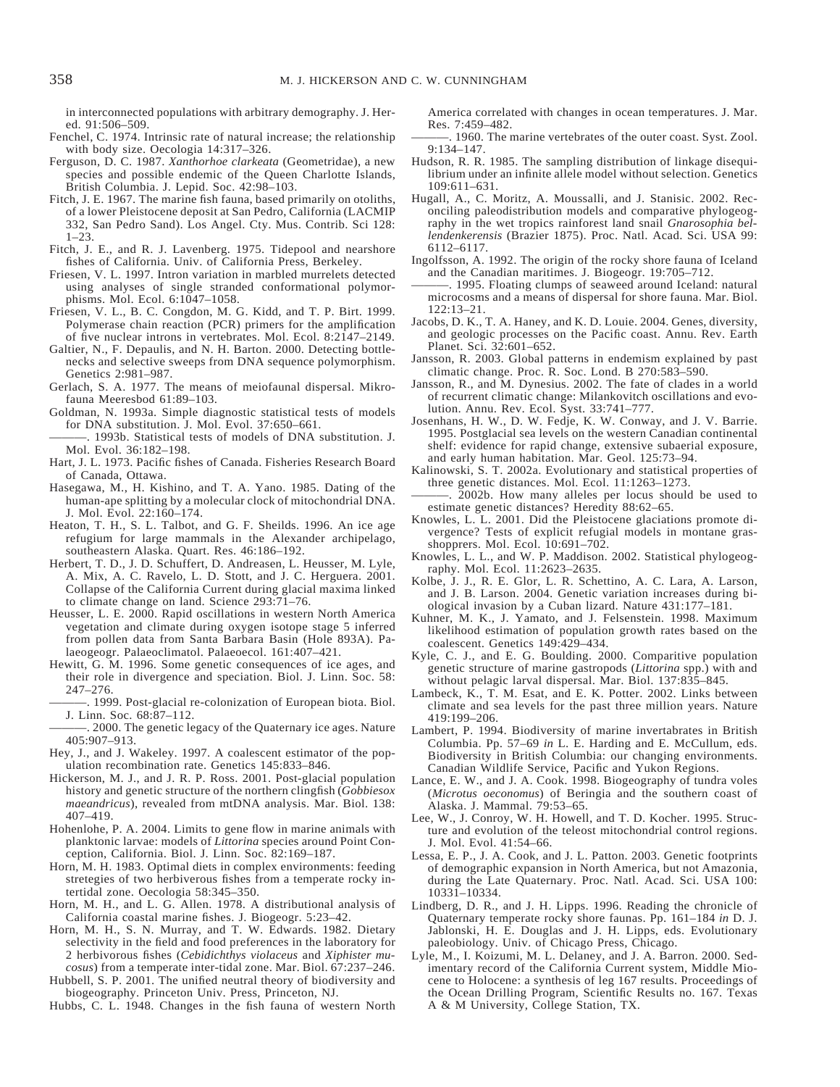in interconnected populations with arbitrary demography. J. Hered. 91:506–509.

- Fenchel, C. 1974. Intrinsic rate of natural increase; the relationship with body size. Oecologia 14:317–326.
- Ferguson, D. C. 1987. *Xanthorhoe clarkeata* (Geometridae), a new species and possible endemic of the Queen Charlotte Islands, British Columbia. J. Lepid. Soc. 42:98–103.
- Fitch, J. E. 1967. The marine fish fauna, based primarily on otoliths, of a lower Pleistocene deposit at San Pedro, California (LACMIP 332, San Pedro Sand). Los Angel. Cty. Mus. Contrib. Sci 128:  $1 - 23$ .
- Fitch, J. E., and R. J. Lavenberg. 1975. Tidepool and nearshore fishes of California. Univ. of California Press, Berkeley.
- Friesen, V. L. 1997. Intron variation in marbled murrelets detected using analyses of single stranded conformational polymorphisms. Mol. Ecol. 6:1047–1058.
- Friesen, V. L., B. C. Congdon, M. G. Kidd, and T. P. Birt. 1999. Polymerase chain reaction (PCR) primers for the amplification of five nuclear introns in vertebrates. Mol. Ecol. 8:2147–2149.
- Galtier, N., F. Depaulis, and N. H. Barton. 2000. Detecting bottlenecks and selective sweeps from DNA sequence polymorphism. Genetics 2:981–987.
- Gerlach, S. A. 1977. The means of meiofaunal dispersal. Mikrofauna Meeresbod 61:89–103.
- Goldman, N. 1993a. Simple diagnostic statistical tests of models for DNA substitution. J. Mol. Evol. 37:650–661.
- ———. 1993b. Statistical tests of models of DNA substitution. J. Mol. Evol. 36:182–198.
- Hart, J. L. 1973. Pacific fishes of Canada. Fisheries Research Board of Canada, Ottawa.
- Hasegawa, M., H. Kishino, and T. A. Yano. 1985. Dating of the human-ape splitting by a molecular clock of mitochondrial DNA. J. Mol. Evol. 22:160–174.
- Heaton, T. H., S. L. Talbot, and G. F. Sheilds. 1996. An ice age refugium for large mammals in the Alexander archipelago, southeastern Alaska. Quart. Res. 46:186–192.
- Herbert, T. D., J. D. Schuffert, D. Andreasen, L. Heusser, M. Lyle, A. Mix, A. C. Ravelo, L. D. Stott, and J. C. Herguera. 2001. Collapse of the California Current during glacial maxima linked to climate change on land. Science 293:71–76.
- Heusser, L. E. 2000. Rapid oscillations in western North America vegetation and climate during oxygen isotope stage 5 inferred from pollen data from Santa Barbara Basin (Hole 893A). Palaeogeogr. Palaeoclimatol. Palaeoecol. 161:407–421.
- Hewitt, G. M. 1996. Some genetic consequences of ice ages, and their role in divergence and speciation. Biol. J. Linn. Soc. 58: 247–276.
	- . 1999. Post-glacial re-colonization of European biota. Biol. J. Linn. Soc. 68:87–112.
- . 2000. The genetic legacy of the Quaternary ice ages. Nature 405:907–913.
- Hey, J., and J. Wakeley. 1997. A coalescent estimator of the population recombination rate. Genetics 145:833–846.
- Hickerson, M. J., and J. R. P. Ross. 2001. Post-glacial population history and genetic structure of the northern clingfish (*Gobbiesox maeandricus*), revealed from mtDNA analysis. Mar. Biol. 138: 407–419.
- Hohenlohe, P. A. 2004. Limits to gene flow in marine animals with planktonic larvae: models of *Littorina* species around Point Conception, California. Biol. J. Linn. Soc. 82:169–187.
- Horn, M. H. 1983. Optimal diets in complex environments: feeding stretegies of two herbiverous fishes from a temperate rocky intertidal zone. Oecologia 58:345–350.
- Horn, M. H., and L. G. Allen. 1978. A distributional analysis of California coastal marine fishes. J. Biogeogr. 5:23–42.
- Horn, M. H., S. N. Murray, and T. W. Edwards. 1982. Dietary selectivity in the field and food preferences in the laboratory for 2 herbivorous fishes (*Cebidichthys violaceus* and *Xiphister mucosus*) from a temperate inter-tidal zone. Mar. Biol. 67:237–246.
- Hubbell, S. P. 2001. The unified neutral theory of biodiversity and biogeography. Princeton Univ. Press, Princeton, NJ.

Hubbs, C. L. 1948. Changes in the fish fauna of western North

America correlated with changes in ocean temperatures. J. Mar. Res. 7:459–482.

- . 1960. The marine vertebrates of the outer coast. Syst. Zool. 9:134–147.
- Hudson, R. R. 1985. The sampling distribution of linkage disequilibrium under an infinite allele model without selection. Genetics 109:611–631.
- Hugall, A., C. Moritz, A. Moussalli, and J. Stanisic. 2002. Reconciling paleodistribution models and comparative phylogeography in the wet tropics rainforest land snail *Gnarosophia bellendenkerensis* (Brazier 1875). Proc. Natl. Acad. Sci. USA 99: 6112–6117.
- Ingolfsson, A. 1992. The origin of the rocky shore fauna of Iceland and the Canadian maritimes. J. Biogeogr. 19:705–712.
- -. 1995. Floating clumps of seaweed around Iceland: natural microcosms and a means of dispersal for shore fauna. Mar. Biol. 122:13–21.
- Jacobs, D. K., T. A. Haney, and K. D. Louie. 2004. Genes, diversity, and geologic processes on the Pacific coast. Annu. Rev. Earth Planet. Sci. 32:601–652.
- Jansson, R. 2003. Global patterns in endemism explained by past climatic change. Proc. R. Soc. Lond. B 270:583–590.
- Jansson, R., and M. Dynesius. 2002. The fate of clades in a world of recurrent climatic change: Milankovitch oscillations and evolution. Annu. Rev. Ecol. Syst. 33:741–777.
- Josenhans, H. W., D. W. Fedje, K. W. Conway, and J. V. Barrie. 1995. Postglacial sea levels on the western Canadian continental shelf: evidence for rapid change, extensive subaerial exposure, and early human habitation. Mar. Geol. 125:73–94.
- Kalinowski, S. T. 2002a. Evolutionary and statistical properties of three genetic distances. Mol. Ecol. 11:1263–1273.
- ———. 2002b. How many alleles per locus should be used to estimate genetic distances? Heredity 88:62–65.
- Knowles, L. L. 2001. Did the Pleistocene glaciations promote divergence? Tests of explicit refugial models in montane grasshopprers. Mol. Ecol. 10:691–702.
- Knowles, L. L., and W. P. Maddison. 2002. Statistical phylogeography. Mol. Ecol. 11:2623–2635.
- Kolbe, J. J., R. E. Glor, L. R. Schettino, A. C. Lara, A. Larson, and J. B. Larson. 2004. Genetic variation increases during biological invasion by a Cuban lizard. Nature 431:177–181.
- Kuhner, M. K., J. Yamato, and J. Felsenstein. 1998. Maximum likelihood estimation of population growth rates based on the coalescent. Genetics 149:429–434.
- Kyle, C. J., and E. G. Boulding. 2000. Comparitive population genetic structure of marine gastropods (*Littorina* spp.) with and without pelagic larval dispersal. Mar. Biol. 137:835–845.
- Lambeck, K., T. M. Esat, and E. K. Potter. 2002. Links between climate and sea levels for the past three million years. Nature 419:199–206.
- Lambert, P. 1994. Biodiversity of marine invertabrates in British Columbia. Pp. 57–69 *in* L. E. Harding and E. McCullum, eds. Biodiversity in British Columbia: our changing environments. Canadian Wildlife Service, Pacific and Yukon Regions.
- Lance, E. W., and J. A. Cook. 1998. Biogeography of tundra voles (*Microtus oeconomus*) of Beringia and the southern coast of Alaska. J. Mammal. 79:53–65.
- Lee, W., J. Conroy, W. H. Howell, and T. D. Kocher. 1995. Structure and evolution of the teleost mitochondrial control regions. J. Mol. Evol. 41:54–66.
- Lessa, E. P., J. A. Cook, and J. L. Patton. 2003. Genetic footprints of demographic expansion in North America, but not Amazonia, during the Late Quaternary. Proc. Natl. Acad. Sci. USA 100: 10331–10334.
- Lindberg, D. R., and J. H. Lipps. 1996. Reading the chronicle of Quaternary temperate rocky shore faunas. Pp. 161–184 *in* D. J. Jablonski, H. E. Douglas and J. H. Lipps, eds. Evolutionary paleobiology. Univ. of Chicago Press, Chicago.
- Lyle, M., I. Koizumi, M. L. Delaney, and J. A. Barron. 2000. Sedimentary record of the California Current system, Middle Miocene to Holocene: a synthesis of leg 167 results. Proceedings of the Ocean Drilling Program, Scientific Results no. 167. Texas A & M University, College Station, TX.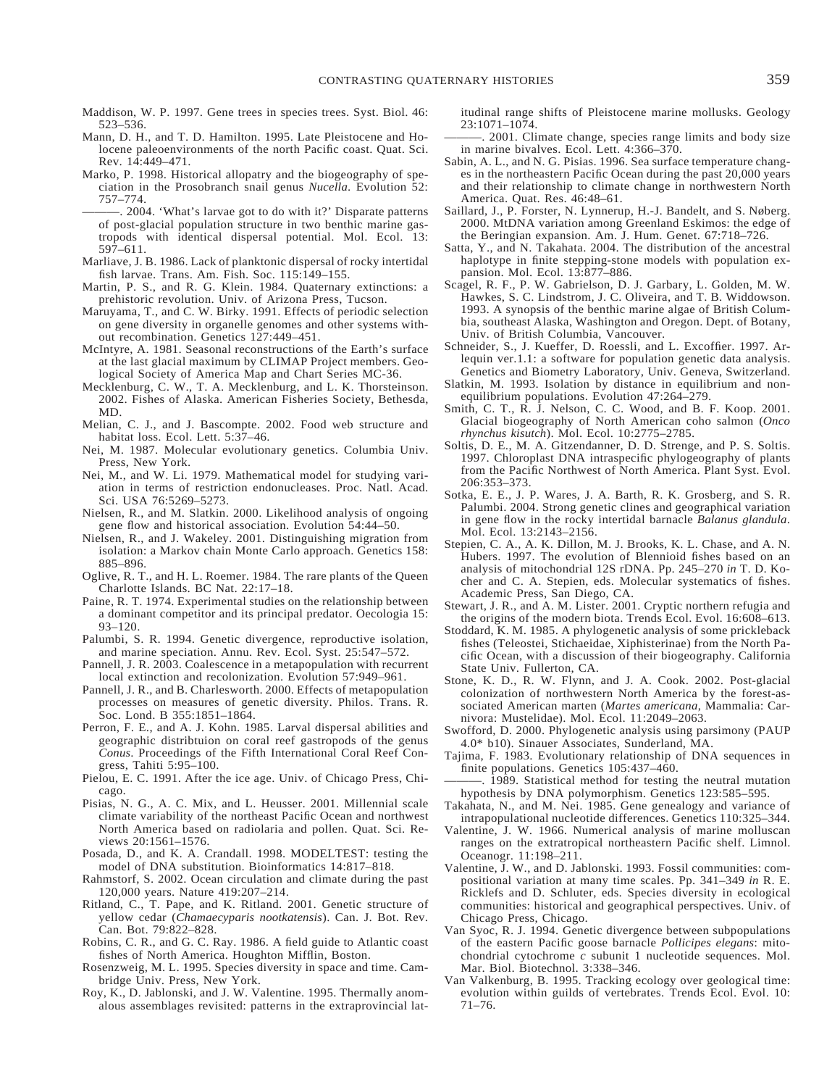- Maddison, W. P. 1997. Gene trees in species trees. Syst. Biol. 46: 523–536.
- Mann, D. H., and T. D. Hamilton. 1995. Late Pleistocene and Holocene paleoenvironments of the north Pacific coast. Quat. Sci. Rev. 14:449–471.
- Marko, P. 1998. Historical allopatry and the biogeography of speciation in the Prosobranch snail genus *Nucella*. Evolution 52: 757–774.
- . 2004. 'What's larvae got to do with it?' Disparate patterns of post-glacial population structure in two benthic marine gastropods with identical dispersal potential. Mol. Ecol. 13: 597–611.
- Marliave, J. B. 1986. Lack of planktonic dispersal of rocky intertidal fish larvae. Trans. Am. Fish. Soc. 115:149–155.
- Martin, P. S., and R. G. Klein. 1984. Quaternary extinctions: a prehistoric revolution. Univ. of Arizona Press, Tucson.
- Maruyama, T., and C. W. Birky. 1991. Effects of periodic selection on gene diversity in organelle genomes and other systems without recombination. Genetics 127:449–451.
- McIntyre, A. 1981. Seasonal reconstructions of the Earth's surface at the last glacial maximum by CLIMAP Project members. Geological Society of America Map and Chart Series MC-36.
- Mecklenburg, C. W., T. A. Mecklenburg, and L. K. Thorsteinson. 2002. Fishes of Alaska. American Fisheries Society, Bethesda, MD.
- Melian, C. J., and J. Bascompte. 2002. Food web structure and habitat loss. Ecol. Lett. 5:37–46.
- Nei, M. 1987. Molecular evolutionary genetics. Columbia Univ. Press, New York.
- Nei, M., and W. Li. 1979. Mathematical model for studying variation in terms of restriction endonucleases. Proc. Natl. Acad. Sci. USA 76:5269–5273.
- Nielsen, R., and M. Slatkin. 2000. Likelihood analysis of ongoing gene flow and historical association. Evolution 54:44–50.
- Nielsen, R., and J. Wakeley. 2001. Distinguishing migration from isolation: a Markov chain Monte Carlo approach. Genetics 158: 885–896.
- Oglive, R. T., and H. L. Roemer. 1984. The rare plants of the Queen Charlotte Islands. BC Nat. 22:17–18.
- Paine, R. T. 1974. Experimental studies on the relationship between a dominant competitor and its principal predator. Oecologia 15: 93–120.
- Palumbi, S. R. 1994. Genetic divergence, reproductive isolation, and marine speciation. Annu. Rev. Ecol. Syst. 25:547–572.
- Pannell, J. R. 2003. Coalescence in a metapopulation with recurrent local extinction and recolonization. Evolution 57:949–961.
- Pannell, J. R., and B. Charlesworth. 2000. Effects of metapopulation processes on measures of genetic diversity. Philos. Trans. R. Soc. Lond. B 355:1851–1864.
- Perron, F. E., and A. J. Kohn. 1985. Larval dispersal abilities and geographic distribtuion on coral reef gastropods of the genus *Conus*. Proceedings of the Fifth International Coral Reef Congress, Tahiti 5:95–100.
- Pielou, E. C. 1991. After the ice age. Univ. of Chicago Press, Chicago.
- Pisias, N. G., A. C. Mix, and L. Heusser. 2001. Millennial scale climate variability of the northeast Pacific Ocean and northwest North America based on radiolaria and pollen. Quat. Sci. Reviews 20:1561–1576.
- Posada, D., and K. A. Crandall. 1998. MODELTEST: testing the model of DNA substitution. Bioinformatics 14:817–818.
- Rahmstorf, S. 2002. Ocean circulation and climate during the past 120,000 years. Nature 419:207–214.
- Ritland, C., T. Pape, and K. Ritland. 2001. Genetic structure of yellow cedar (*Chamaecyparis nootkatensis*). Can. J. Bot. Rev. Can. Bot. 79:822–828.
- Robins, C. R., and G. C. Ray. 1986. A field guide to Atlantic coast fishes of North America. Houghton Mifflin, Boston.
- Rosenzweig, M. L. 1995. Species diversity in space and time. Cambridge Univ. Press, New York.
- Roy, K., D. Jablonski, and J. W. Valentine. 1995. Thermally anomalous assemblages revisited: patterns in the extraprovincial lat-

itudinal range shifts of Pleistocene marine mollusks. Geology 23:1071–1074.

- ———. 2001. Climate change, species range limits and body size in marine bivalves. Ecol. Lett. 4:366–370.
- Sabin, A. L., and N. G. Pisias. 1996. Sea surface temperature changes in the northeastern Pacific Ocean during the past 20,000 years and their relationship to climate change in northwestern North America. Quat. Res. 46:48–61.
- Saillard, J., P. Forster, N. Lynnerup, H.-J. Bandelt, and S. Nøberg. 2000. MtDNA variation among Greenland Eskimos: the edge of the Beringian expansion. Am. J. Hum. Genet. 67:718–726.
- Satta, Y., and N. Takahata. 2004. The distribution of the ancestral haplotype in finite stepping-stone models with population expansion. Mol. Ecol. 13:877–886.
- Scagel, R. F., P. W. Gabrielson, D. J. Garbary, L. Golden, M. W. Hawkes, S. C. Lindstrom, J. C. Oliveira, and T. B. Widdowson. 1993. A synopsis of the benthic marine algae of British Columbia, southeast Alaska, Washington and Oregon. Dept. of Botany, Univ. of British Columbia, Vancouver.
- Schneider, S., J. Kueffer, D. Roessli, and L. Excoffier. 1997. Arlequin ver.1.1: a software for population genetic data analysis. Genetics and Biometry Laboratory, Univ. Geneva, Switzerland.
- Slatkin, M. 1993. Isolation by distance in equilibrium and nonequilibrium populations. Evolution 47:264–279.
- Smith, C. T., R. J. Nelson, C. C. Wood, and B. F. Koop. 2001. Glacial biogeography of North American coho salmon (*Onco rhynchus kisutch*). Mol. Ecol. 10:2775–2785.
- Soltis, D. E., M. A. Gitzendanner, D. D. Strenge, and P. S. Soltis. 1997. Chloroplast DNA intraspecific phylogeography of plants from the Pacific Northwest of North America. Plant Syst. Evol. 206:353–373.
- Sotka, E. E., J. P. Wares, J. A. Barth, R. K. Grosberg, and S. R. Palumbi. 2004. Strong genetic clines and geographical variation in gene flow in the rocky intertidal barnacle *Balanus glandula*. Mol. Ecol. 13:2143–2156.
- Stepien, C. A., A. K. Dillon, M. J. Brooks, K. L. Chase, and A. N. Hubers. 1997. The evolution of Blennioid fishes based on an analysis of mitochondrial 12S rDNA. Pp. 245–270 *in* T. D. Kocher and C. A. Stepien, eds. Molecular systematics of fishes. Academic Press, San Diego, CA.
- Stewart, J. R., and A. M. Lister. 2001. Cryptic northern refugia and the origins of the modern biota. Trends Ecol. Evol. 16:608–613.
- Stoddard, K. M. 1985. A phylogenetic analysis of some prickleback fishes (Teleostei, Stichaeidae, Xiphisterinae) from the North Pacific Ocean, with a discussion of their biogeography. California State Univ. Fullerton, CA.
- Stone, K. D., R. W. Flynn, and J. A. Cook. 2002. Post-glacial colonization of northwestern North America by the forest-associated American marten (*Martes americana*, Mammalia: Carnivora: Mustelidae). Mol. Ecol. 11:2049–2063.
- Swofford, D. 2000. Phylogenetic analysis using parsimony (PAUP 4.0\* b10). Sinauer Associates, Sunderland, MA.
- Tajima, F. 1983. Evolutionary relationship of DNA sequences in finite populations. Genetics 105:437–460.
- ———. 1989. Statistical method for testing the neutral mutation hypothesis by DNA polymorphism. Genetics 123:585–595.
- Takahata, N., and M. Nei. 1985. Gene genealogy and variance of intrapopulational nucleotide differences. Genetics 110:325–344.
- Valentine, J. W. 1966. Numerical analysis of marine molluscan ranges on the extratropical northeastern Pacific shelf. Limnol. Oceanogr. 11:198–211.
- Valentine, J. W., and D. Jablonski. 1993. Fossil communities: compositional variation at many time scales. Pp. 341–349 *in* R. E. Ricklefs and D. Schluter, eds. Species diversity in ecological communities: historical and geographical perspectives. Univ. of Chicago Press, Chicago.
- Van Syoc, R. J. 1994. Genetic divergence between subpopulations of the eastern Pacific goose barnacle *Pollicipes elegans*: mitochondrial cytochrome *c* subunit 1 nucleotide sequences. Mol. Mar. Biol. Biotechnol. 3:338–346.
- Van Valkenburg, B. 1995. Tracking ecology over geological time: evolution within guilds of vertebrates. Trends Ecol. Evol. 10: 71–76.